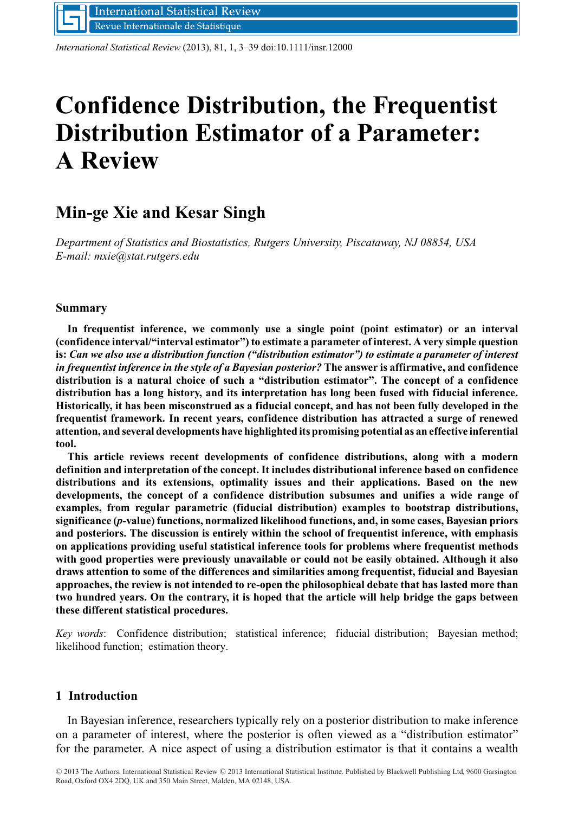*International Statistical Review* (2013), 81, 1, 3–39 doi:10.1111/insr.12000

# **Confidence Distribution, the Frequentist Distribution Estimator of a Parameter: A Review**

# **Min-ge Xie and Kesar Singh**

*Department of Statistics and Biostatistics, Rutgers University, Piscataway, NJ 08854, USA E-mail: mxie@stat.rutgers.edu*

### **Summary**

**In frequentist inference, we commonly use a single point (point estimator) or an interval (confidence interval/"interval estimator") to estimate a parameter of interest. A very simple question is:** *Can we also use a distribution function ("distribution estimator") to estimate a parameter of interest in frequentist inference in the style of a Bayesian posterior?* **The answer is affirmative, and confidence distribution is a natural choice of such a "distribution estimator". The concept of a confidence distribution has a long history, and its interpretation has long been fused with fiducial inference. Historically, it has been misconstrued as a fiducial concept, and has not been fully developed in the frequentist framework. In recent years, confidence distribution has attracted a surge of renewed attention, and several developments have highlighted its promising potential as an effective inferential tool.**

**This article reviews recent developments of confidence distributions, along with a modern definition and interpretation of the concept. It includes distributional inference based on confidence distributions and its extensions, optimality issues and their applications. Based on the new developments, the concept of a confidence distribution subsumes and unifies a wide range of examples, from regular parametric (fiducial distribution) examples to bootstrap distributions, significance (***p***-value) functions, normalized likelihood functions, and, in some cases, Bayesian priors and posteriors. The discussion is entirely within the school of frequentist inference, with emphasis on applications providing useful statistical inference tools for problems where frequentist methods with good properties were previously unavailable or could not be easily obtained. Although it also draws attention to some of the differences and similarities among frequentist, fiducial and Bayesian approaches, the review is not intended to re-open the philosophical debate that has lasted more than two hundred years. On the contrary, it is hoped that the article will help bridge the gaps between these different statistical procedures.**

*Key words*: Confidence distribution; statistical inference; fiducial distribution; Bayesian method; likelihood function; estimation theory.

# **1 Introduction**

In Bayesian inference, researchers typically rely on a posterior distribution to make inference on a parameter of interest, where the posterior is often viewed as a "distribution estimator" for the parameter. A nice aspect of using a distribution estimator is that it contains a wealth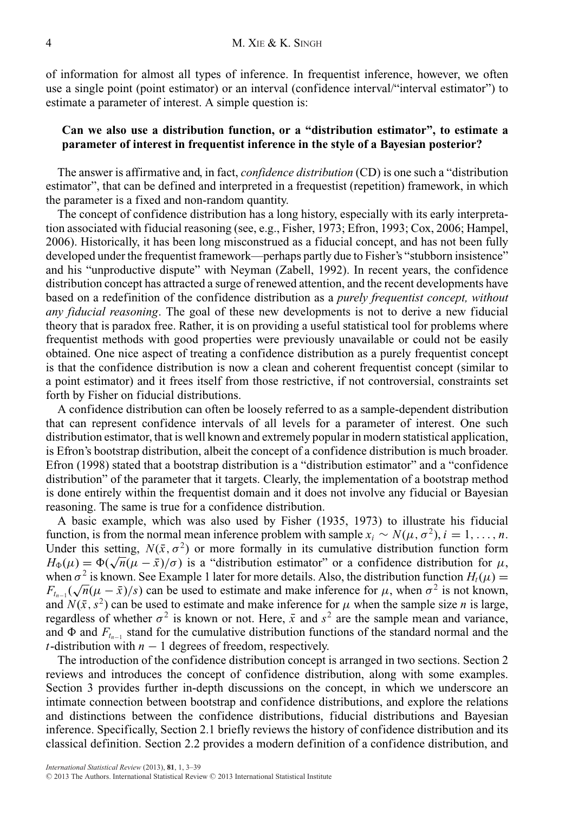of information for almost all types of inference. In frequentist inference, however, we often use a single point (point estimator) or an interval (confidence interval/"interval estimator") to estimate a parameter of interest. A simple question is:

# **Can we also use a distribution function, or a "distribution estimator", to estimate a parameter of interest in frequentist inference in the style of a Bayesian posterior?**

The answer is affirmative and, in fact, *confidence distribution* (CD) is one such a "distribution estimator", that can be defined and interpreted in a frequestist (repetition) framework, in which the parameter is a fixed and non-random quantity.

The concept of confidence distribution has a long history, especially with its early interpretation associated with fiducial reasoning (see, e.g., Fisher, 1973; Efron, 1993; Cox, 2006; Hampel, 2006). Historically, it has been long misconstrued as a fiducial concept, and has not been fully developed under the frequentist framework—perhaps partly due to Fisher's "stubborn insistence" and his "unproductive dispute" with Neyman (Zabell, 1992). In recent years, the confidence distribution concept has attracted a surge of renewed attention, and the recent developments have based on a redefinition of the confidence distribution as a *purely frequentist concept, without any fiducial reasoning*. The goal of these new developments is not to derive a new fiducial theory that is paradox free. Rather, it is on providing a useful statistical tool for problems where frequentist methods with good properties were previously unavailable or could not be easily obtained. One nice aspect of treating a confidence distribution as a purely frequentist concept is that the confidence distribution is now a clean and coherent frequentist concept (similar to a point estimator) and it frees itself from those restrictive, if not controversial, constraints set forth by Fisher on fiducial distributions.

A confidence distribution can often be loosely referred to as a sample-dependent distribution that can represent confidence intervals of all levels for a parameter of interest. One such distribution estimator, that is well known and extremely popular in modern statistical application, is Efron's bootstrap distribution, albeit the concept of a confidence distribution is much broader. Efron (1998) stated that a bootstrap distribution is a "distribution estimator" and a "confidence distribution" of the parameter that it targets. Clearly, the implementation of a bootstrap method is done entirely within the frequentist domain and it does not involve any fiducial or Bayesian reasoning. The same is true for a confidence distribution.

A basic example, which was also used by Fisher (1935, 1973) to illustrate his fiducial function, is from the normal mean inference problem with sample  $x_i \sim N(\mu, \sigma^2)$ ,  $i = 1, \ldots, n$ . Under this setting,  $N(\bar{x}, \sigma^2)$  or more formally in its cumulative distribution function form *H*<sub>Φ</sub>( $\mu$ ) = Φ( $\sqrt{n}(\mu - \bar{x})/\sigma$ ) is a "distribution estimator" or a confidence distribution for  $\mu$ , when  $\sigma^2$  is known. See Example 1 later for more details. Also, the distribution function  $H_t(\mu)$  = when  $\sigma$ <sup>−</sup> is known. See Example 1 iater for more details. Also, the distribution function  $H_t(\mu) = F_{t_{n-1}}(\sqrt{n}(\mu - \bar{x})/s)$  can be used to estimate and make inference for  $\mu$ , when  $\sigma^2$  is not known, and  $N(\bar{x}, s^2)$  can be used to estimate and make inference for  $\mu$  when the sample size *n* is large, regardless of whether  $\sigma^2$  is known or not. Here,  $\bar{x}$  and  $s^2$  are the sample mean and variance, and  $\Phi$  and  $F_{t_{n-1}}$  stand for the cumulative distribution functions of the standard normal and the *t*-distribution with *n* − 1 degrees of freedom, respectively.

The introduction of the confidence distribution concept is arranged in two sections. Section 2 reviews and introduces the concept of confidence distribution, along with some examples. Section 3 provides further in-depth discussions on the concept, in which we underscore an intimate connection between bootstrap and confidence distributions, and explore the relations and distinctions between the confidence distributions, fiducial distributions and Bayesian inference. Specifically, Section 2.1 briefly reviews the history of confidence distribution and its classical definition. Section 2.2 provides a modern definition of a confidence distribution, and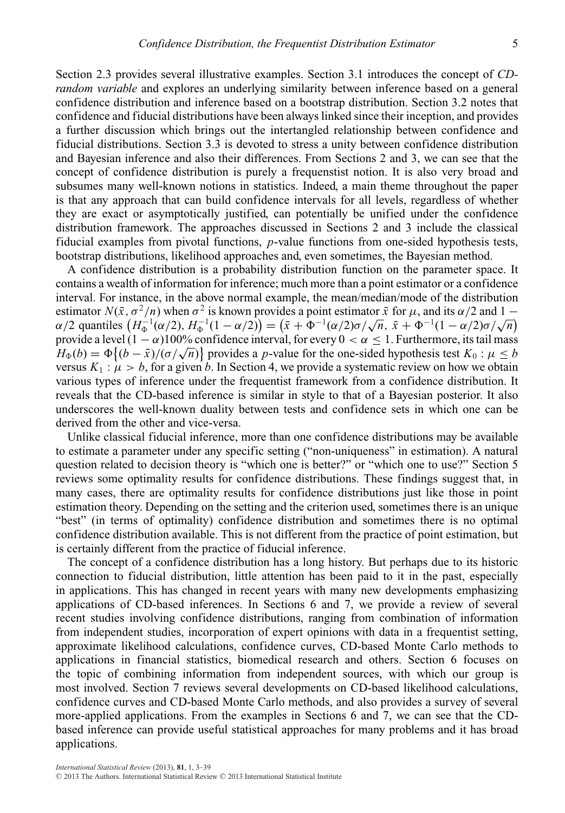Section 2.3 provides several illustrative examples. Section 3.1 introduces the concept of *CDrandom variable* and explores an underlying similarity between inference based on a general confidence distribution and inference based on a bootstrap distribution. Section 3.2 notes that confidence and fiducial distributions have been always linked since their inception, and provides a further discussion which brings out the intertangled relationship between confidence and fiducial distributions. Section 3.3 is devoted to stress a unity between confidence distribution and Bayesian inference and also their differences. From Sections 2 and 3, we can see that the concept of confidence distribution is purely a frequenstist notion. It is also very broad and subsumes many well-known notions in statistics. Indeed, a main theme throughout the paper is that any approach that can build confidence intervals for all levels, regardless of whether they are exact or asymptotically justified, can potentially be unified under the confidence distribution framework. The approaches discussed in Sections 2 and 3 include the classical fiducial examples from pivotal functions, *p*-value functions from one-sided hypothesis tests, bootstrap distributions, likelihood approaches and, even sometimes, the Bayesian method.

A confidence distribution is a probability distribution function on the parameter space. It contains a wealth of information for inference; much more than a point estimator or a confidence interval. For instance, in the above normal example, the mean/median/mode of the distribution estimator  $N(\bar{x}, \sigma^2/n)$  when  $\sigma^2$  is known provides a point estimator  $\bar{x}$  for  $\mu$ , and its  $\alpha/2$  and 1 − estimator  $N(x, \sigma^2/n)$  when  $\sigma^2$  is known provides a point estimator x for  $\mu$ , and its  $\alpha/2$  and  $1 - \alpha/2$  quantiles  $(H_0^{-1}(\alpha/2), H_0^{-1}(1 - \alpha/2)) = (\bar{x} + \Phi^{-1}(\alpha/2)\sigma/\sqrt{n}, \bar{x} + \Phi^{-1}(1 - \alpha/2)\sigma/\sqrt{n})$ provide a level  $(1 - \alpha)100\%$  confidence interval, for every  $0 < \alpha \le 1$ . Furthermore, its tail mass  $H_{\Phi}(b) = \Phi\{(b - \bar{x})/(\sigma/\sqrt{n})\}$  provides a *p*-value for the one-sided hypothesis test  $K_0 : \mu \leq b$ versus  $K_1$ :  $\mu > b$ , for a given *b*. In Section 4, we provide a systematic review on how we obtain various types of inference under the frequentist framework from a confidence distribution. It reveals that the CD-based inference is similar in style to that of a Bayesian posterior. It also underscores the well-known duality between tests and confidence sets in which one can be derived from the other and vice-versa.

Unlike classical fiducial inference, more than one confidence distributions may be available to estimate a parameter under any specific setting ("non-uniqueness" in estimation). A natural question related to decision theory is "which one is better?" or "which one to use?" Section 5 reviews some optimality results for confidence distributions. These findings suggest that, in many cases, there are optimality results for confidence distributions just like those in point estimation theory. Depending on the setting and the criterion used, sometimes there is an unique "best" (in terms of optimality) confidence distribution and sometimes there is no optimal confidence distribution available. This is not different from the practice of point estimation, but is certainly different from the practice of fiducial inference.

The concept of a confidence distribution has a long history. But perhaps due to its historic connection to fiducial distribution, little attention has been paid to it in the past, especially in applications. This has changed in recent years with many new developments emphasizing applications of CD-based inferences. In Sections 6 and 7, we provide a review of several recent studies involving confidence distributions, ranging from combination of information from independent studies, incorporation of expert opinions with data in a frequentist setting, approximate likelihood calculations, confidence curves, CD-based Monte Carlo methods to applications in financial statistics, biomedical research and others. Section 6 focuses on the topic of combining information from independent sources, with which our group is most involved. Section 7 reviews several developments on CD-based likelihood calculations, confidence curves and CD-based Monte Carlo methods, and also provides a survey of several more-applied applications. From the examples in Sections 6 and 7, we can see that the CDbased inference can provide useful statistical approaches for many problems and it has broad applications.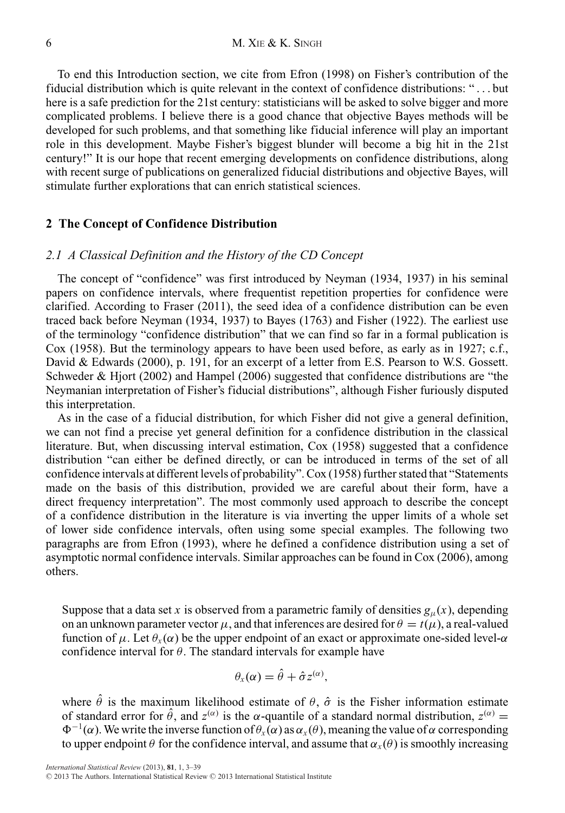To end this Introduction section, we cite from Efron (1998) on Fisher's contribution of the fiducial distribution which is quite relevant in the context of confidence distributions: " ... but here is a safe prediction for the 21st century: statisticians will be asked to solve bigger and more complicated problems. I believe there is a good chance that objective Bayes methods will be developed for such problems, and that something like fiducial inference will play an important role in this development. Maybe Fisher's biggest blunder will become a big hit in the 21st century!" It is our hope that recent emerging developments on confidence distributions, along with recent surge of publications on generalized fiducial distributions and objective Bayes, will stimulate further explorations that can enrich statistical sciences.

#### **2 The Concept of Confidence Distribution**

# *2.1 A Classical Definition and the History of the CD Concept*

The concept of "confidence" was first introduced by Neyman (1934, 1937) in his seminal papers on confidence intervals, where frequentist repetition properties for confidence were clarified. According to Fraser (2011), the seed idea of a confidence distribution can be even traced back before Neyman (1934, 1937) to Bayes (1763) and Fisher (1922). The earliest use of the terminology "confidence distribution" that we can find so far in a formal publication is Cox (1958). But the terminology appears to have been used before, as early as in 1927; c.f., David & Edwards (2000), p. 191, for an excerpt of a letter from E.S. Pearson to W.S. Gossett. Schweder & Hjort (2002) and Hampel (2006) suggested that confidence distributions are "the Neymanian interpretation of Fisher's fiducial distributions", although Fisher furiously disputed this interpretation.

As in the case of a fiducial distribution, for which Fisher did not give a general definition, we can not find a precise yet general definition for a confidence distribution in the classical literature. But, when discussing interval estimation, Cox (1958) suggested that a confidence distribution "can either be defined directly, or can be introduced in terms of the set of all confidence intervals at different levels of probability". Cox (1958) further stated that "Statements made on the basis of this distribution, provided we are careful about their form, have a direct frequency interpretation". The most commonly used approach to describe the concept of a confidence distribution in the literature is via inverting the upper limits of a whole set of lower side confidence intervals, often using some special examples. The following two paragraphs are from Efron (1993), where he defined a confidence distribution using a set of asymptotic normal confidence intervals. Similar approaches can be found in Cox (2006), among others.

Suppose that a data set *x* is observed from a parametric family of densities  $g_{\mu}(x)$ , depending on an unknown parameter vector  $\mu$ , and that inferences are desired for  $\theta = t(\mu)$ , a real-valued function of  $\mu$ . Let  $\theta_x(\alpha)$  be the upper endpoint of an exact or approximate one-sided level- $\alpha$ confidence interval for  $\theta$ . The standard intervals for example have

$$
\theta_x(\alpha) = \hat{\theta} + \hat{\sigma} z^{(\alpha)},
$$

where  $\hat{\theta}$  is the maximum likelihood estimate of  $\theta$ ,  $\hat{\sigma}$  is the Fisher information estimate of standard error for  $\hat{\theta}$ , and  $z^{(\alpha)}$  is the  $\alpha$ -quantile of a standard normal distribution,  $z^{(\alpha)} =$  $\Phi^{-1}(\alpha)$ . We write the inverse function of  $\theta_x(\alpha)$  as  $\alpha_x(\theta)$ , meaning the value of  $\alpha$  corresponding to upper endpoint  $\theta$  for the confidence interval, and assume that  $\alpha_x(\theta)$  is smoothly increasing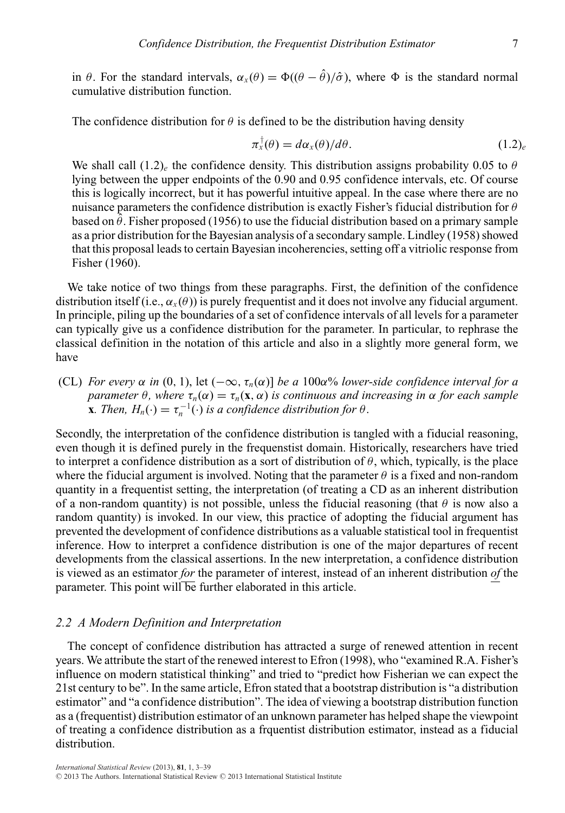in  $\theta$ . For the standard intervals,  $\alpha_x(\theta) = \Phi((\theta - \hat{\theta})/\hat{\sigma})$ , where  $\Phi$  is the standard normal cumulative distribution function.

The confidence distribution for  $\theta$  is defined to be the distribution having density

$$
\pi_x^{\mathbb{T}}(\theta) = d\alpha_x(\theta)/d\theta. \tag{1.2}
$$

We shall call  $(1.2)$ <sub>e</sub> the confidence density. This distribution assigns probability 0.05 to  $\theta$ lying between the upper endpoints of the 0.90 and 0.95 confidence intervals, etc. Of course this is logically incorrect, but it has powerful intuitive appeal. In the case where there are no nuisance parameters the confidence distribution is exactly Fisher's fiducial distribution for  $\theta$ based on  $\hat{\theta}$ . Fisher proposed (1956) to use the fiducial distribution based on a primary sample as a prior distribution for the Bayesian analysis of a secondary sample. Lindley (1958) showed that this proposal leads to certain Bayesian incoherencies, setting off a vitriolic response from Fisher (1960).

We take notice of two things from these paragraphs. First, the definition of the confidence distribution itself (i.e.,  $\alpha_x(\theta)$ ) is purely frequentist and it does not involve any fiducial argument. In principle, piling up the boundaries of a set of confidence intervals of all levels for a parameter can typically give us a confidence distribution for the parameter. In particular, to rephrase the classical definition in the notation of this article and also in a slightly more general form, we have

(CL) *For every* α *in* (0, 1), let (−∞, τ*n*(α)] *be a* 100α% *lower-side confidence interval for a parameter*  $\theta$ *, where*  $\tau_n(\alpha) = \tau_n(\mathbf{x}, \alpha)$  *is continuous and increasing in*  $\alpha$  *for each sample* **x***. Then,*  $H_n(\cdot) = \tau_n^{-1}(\cdot)$  *is a confidence distribution for*  $\theta$ *.* 

Secondly, the interpretation of the confidence distribution is tangled with a fiducial reasoning, even though it is defined purely in the frequenstist domain. Historically, researchers have tried to interpret a confidence distribution as a sort of distribution of  $\theta$ , which, typically, is the place where the fiducial argument is involved. Noting that the parameter  $\theta$  is a fixed and non-random quantity in a frequentist setting, the interpretation (of treating a CD as an inherent distribution of a non-random quantity) is not possible, unless the fiducial reasoning (that  $\theta$  is now also a random quantity) is invoked. In our view, this practice of adopting the fiducial argument has prevented the development of confidence distributions as a valuable statistical tool in frequentist inference. How to interpret a confidence distribution is one of the major departures of recent developments from the classical assertions. In the new interpretation, a confidence distribution is viewed as an estimator *for* the parameter of interest, instead of an inherent distribution *of* the parameter. This point will be further elaborated in this article.

#### *2.2 A Modern Definition and Interpretation*

The concept of confidence distribution has attracted a surge of renewed attention in recent years. We attribute the start of the renewed interest to Efron (1998), who "examined R.A. Fisher's influence on modern statistical thinking" and tried to "predict how Fisherian we can expect the 21st century to be". In the same article, Efron stated that a bootstrap distribution is "a distribution estimator" and "a confidence distribution". The idea of viewing a bootstrap distribution function as a (frequentist) distribution estimator of an unknown parameter has helped shape the viewpoint of treating a confidence distribution as a frquentist distribution estimator, instead as a fiducial distribution.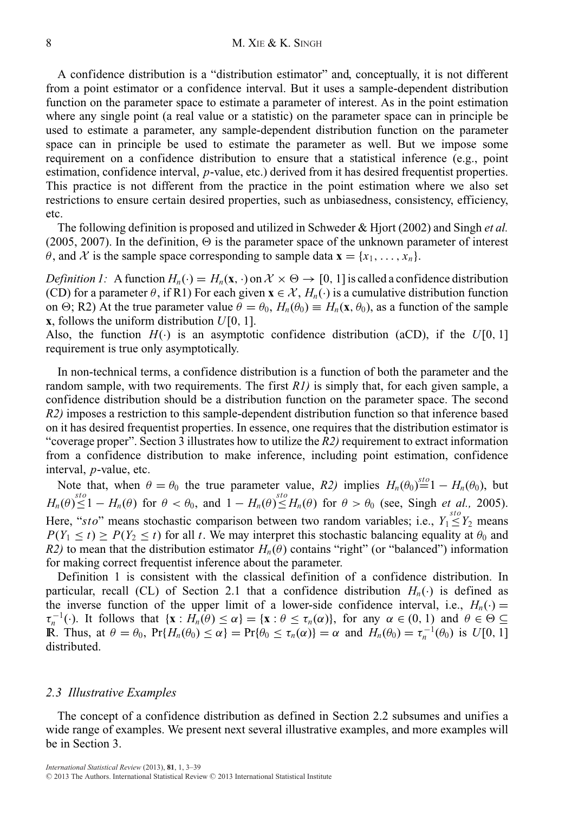A confidence distribution is a "distribution estimator" and, conceptually, it is not different from a point estimator or a confidence interval. But it uses a sample-dependent distribution function on the parameter space to estimate a parameter of interest. As in the point estimation where any single point (a real value or a statistic) on the parameter space can in principle be used to estimate a parameter, any sample-dependent distribution function on the parameter space can in principle be used to estimate the parameter as well. But we impose some requirement on a confidence distribution to ensure that a statistical inference (e.g., point estimation, confidence interval, *p*-value, etc.) derived from it has desired frequentist properties. This practice is not different from the practice in the point estimation where we also set restrictions to ensure certain desired properties, such as unbiasedness, consistency, efficiency, etc.

The following definition is proposed and utilized in Schweder & Hjort (2002) and Singh *et al.* (2005, 2007). In the definition,  $\Theta$  is the parameter space of the unknown parameter of interest  $\theta$ , and  $\mathcal X$  is the sample space corresponding to sample data  $\mathbf x = \{x_1, \ldots, x_n\}$ .

*Definition 1:* A function  $H_n(\cdot) = H_n(\mathbf{x}, \cdot)$  on  $\mathcal{X} \times \Theta \to [0, 1]$  is called a confidence distribution (CD) for a parameter  $\theta$ , if R1) For each given  $\mathbf{x} \in \mathcal{X}$ ,  $H_n(\cdot)$  is a cumulative distribution function on  $\Theta$ ; R2) At the true parameter value  $\theta = \theta_0$ ,  $H_n(\theta_0) \equiv H_n(\mathbf{x}, \theta_0)$ , as a function of the sample **x**, follows the uniform distribution *U*[0, 1].

Also, the function  $H(\cdot)$  is an asymptotic confidence distribution (aCD), if the  $U[0, 1]$ requirement is true only asymptotically.

In non-technical terms, a confidence distribution is a function of both the parameter and the random sample, with two requirements. The first *R1)* is simply that, for each given sample, a confidence distribution should be a distribution function on the parameter space. The second *R2)* imposes a restriction to this sample-dependent distribution function so that inference based on it has desired frequentist properties. In essence, one requires that the distribution estimator is "coverage proper". Section 3 illustrates how to utilize the *R2*) requirement to extract information from a confidence distribution to make inference, including point estimation, confidence interval, *p*-value, etc.

Note that, when  $\theta = \theta_0$  the true parameter value, *R2*) implies  $H_n(\theta_0) \stackrel{\text{sto}}{=} 1 - H_n(\theta_0)$ , but  $H_n(\theta) \leq 1 - H_n(\theta)$  for  $\theta < \theta_0$ , and  $1 - H_n(\theta) \leq H_n(\theta)$  for  $\theta > \theta_0$  (see, Singh *et al.,* 2005). Here, "*sto*" means stochastic comparison between two random variables; i.e.,  $Y_1 \leq Y_2$  means  $P(Y_1 \le t) \ge P(Y_2 \le t)$  for all *t*. We may interpret this stochastic balancing equality at  $\theta_0$  and *R2*) to mean that the distribution estimator  $H_n(\theta)$  contains "right" (or "balanced") information for making correct frequentist inference about the parameter.

Definition 1 is consistent with the classical definition of a confidence distribution. In particular, recall (CL) of Section 2.1 that a confidence distribution  $H_n(\cdot)$  is defined as the inverse function of the upper limit of a lower-side confidence interval, i.e.,  $H_n(\cdot)$  =  $\tau_n^{-1}(\cdot)$ . It follows that  $\{x : H_n(\theta) \le \alpha\} = \{x : \theta \le \tau_n(\alpha)\}\)$ , for any  $\alpha \in (0, 1)$  and  $\theta \in \Theta \subseteq$ **IR.** Thus, at  $\theta = \theta_0$ , Pr{ $H_n(\theta_0) \le \alpha$ } = Pr{ $\theta_0 \le \tau_n(\alpha)$ } =  $\alpha$  and  $H_n(\theta_0) = \tau_n^{-1}(\theta_0)$  is  $U[0, 1]$ distributed.

#### *2.3 Illustrative Examples*

The concept of a confidence distribution as defined in Section 2.2 subsumes and unifies a wide range of examples. We present next several illustrative examples, and more examples will be in Section 3.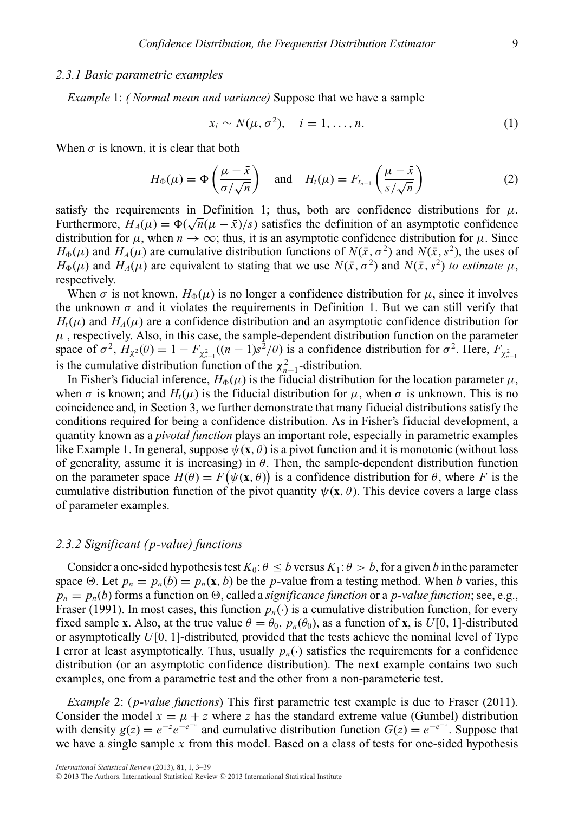#### *2.3.1 Basic parametric examples*

*Example* 1: *( Normal mean and variance)* Suppose that we have a sample

$$
x_i \sim N(\mu, \sigma^2), \quad i = 1, \dots, n. \tag{1}
$$

When  $\sigma$  is known, it is clear that both

$$
H_{\Phi}(\mu) = \Phi\left(\frac{\mu - \bar{x}}{\sigma/\sqrt{n}}\right) \quad \text{and} \quad H_{t}(\mu) = F_{t_{n-1}}\left(\frac{\mu - \bar{x}}{s/\sqrt{n}}\right) \tag{2}
$$

satisfy the requirements in Definition 1; thus, both are confidence distributions for  $\mu$ . Furthermore,  $H_A(\mu) = \Phi(\sqrt{n}(\mu - \bar{x})/s)$  satisfies the definition of an asymptotic confidence distribution for  $\mu$ , when  $n \to \infty$ ; thus, it is an asymptotic confidence distribution for  $\mu$ . Since *H*<sub> $\Phi$ </sub>( $\mu$ ) and *H<sub>A</sub>*( $\mu$ ) are cumulative distribution functions of *N*( $\bar{x}$ ,  $\sigma$ <sup>2</sup>) and *N*( $\bar{x}$ ,  $s$ <sup>2</sup>), the uses of  $H_{\Phi}(\mu)$  and  $H_A(\mu)$  are equivalent to stating that we use  $N(\bar{x}, \sigma^2)$  and  $N(\bar{x}, s^2)$  to estimate  $\mu$ , respectively.

When  $\sigma$  is not known,  $H_{\Phi}(\mu)$  is no longer a confidence distribution for  $\mu$ , since it involves the unknown  $\sigma$  and it violates the requirements in Definition 1. But we can still verify that  $H_t(\mu)$  and  $H_A(\mu)$  are a confidence distribution and an asymptotic confidence distribution for  $\mu$ , respectively. Also, in this case, the sample-dependent distribution function on the parameter space of  $\sigma^2$ ,  $H_{\chi^2}(\theta) = 1 - F_{\chi^2_{n-1}}((n-1)s^2/\theta)$  is a confidence distribution for  $\sigma^2$ . Here,  $F_{\chi^2_{n-1}}$ is the cumulative distribution function of the  $\chi^2_{n-1}$ -distribution.

In Fisher's fiducial inference,  $H_{\Phi}(\mu)$  is the fiducial distribution for the location parameter  $\mu$ , when  $\sigma$  is known; and  $H_t(\mu)$  is the fiducial distribution for  $\mu$ , when  $\sigma$  is unknown. This is no coincidence and, in Section 3, we further demonstrate that many fiducial distributions satisfy the conditions required for being a confidence distribution. As in Fisher's fiducial development, a quantity known as a *pivotal function* plays an important role, especially in parametric examples like Example 1. In general, suppose  $\psi(\mathbf{x}, \theta)$  is a pivot function and it is monotonic (without loss of generality, assume it is increasing) in  $\theta$ . Then, the sample-dependent distribution function on the parameter space  $H(\theta) = F(\psi(\mathbf{x}, \theta))$  is a confidence distribution for  $\theta$ , where *F* is the cumulative distribution function of the pivot quantity  $\psi(\mathbf{x}, \theta)$ . This device covers a large class of parameter examples.

#### *2.3.2 Significant ( p-value) functions*

Consider a one-sided hypothesis test  $K_0: \theta \leq b$  versus  $K_1: \theta > b$ , for a given b in the parameter space  $\Theta$ . Let  $p_n = p_n(b) = p_n(\mathbf{x}, b)$  be the *p*-value from a testing method. When *b* varies, this  $p_n = p_n(b)$  forms a function on  $\Theta$ , called a *significance function* or a *p-value function*; see, e.g., Fraser (1991). In most cases, this function  $p_n(\cdot)$  is a cumulative distribution function, for every fixed sample **x**. Also, at the true value  $\theta = \theta_0$ ,  $p_n(\theta_0)$ , as a function of **x**, is  $U[0, 1]$ -distributed or asymptotically *U*[0, 1]-distributed, provided that the tests achieve the nominal level of Type I error at least asymptotically. Thus, usually  $p_n(\cdot)$  satisfies the requirements for a confidence distribution (or an asymptotic confidence distribution). The next example contains two such examples, one from a parametric test and the other from a non-parameteric test.

*Example* 2: (*p-value functions*) This first parametric test example is due to Fraser (2011). Consider the model  $x = \mu + z$  where *z* has the standard extreme value (Gumbel) distribution with density  $g(z) = e^{-z}e^{-e^{-z}}$  and cumulative distribution function  $G(z) = e^{-e^{-z}}$ . Suppose that we have a single sample *x* from this model. Based on a class of tests for one-sided hypothesis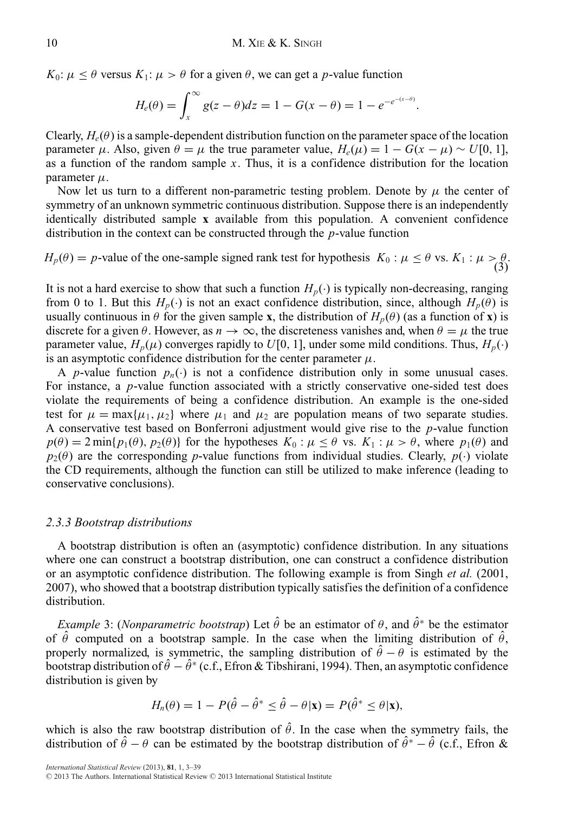*K*<sub>0</sub>:  $\mu \leq \theta$  versus *K*<sub>1</sub>:  $\mu > \theta$  for a given  $\theta$ , we can get a *p*-value function

$$
H_e(\theta) = \int_x^{\infty} g(z - \theta) dz = 1 - G(x - \theta) = 1 - e^{-e^{-(x - \theta)}}.
$$

Clearly,  $H_e(\theta)$  is a sample-dependent distribution function on the parameter space of the location parameter  $\mu$ . Also, given  $\theta = \mu$  the true parameter value,  $H_e(\mu) = 1 - G(x - \mu) \sim U[0, 1]$ , as a function of the random sample *x*. Thus, it is a confidence distribution for the location parameter  $\mu$ .

Now let us turn to a different non-parametric testing problem. Denote by  $\mu$  the center of symmetry of an unknown symmetric continuous distribution. Suppose there is an independently identically distributed sample **x** available from this population. A convenient confidence distribution in the context can be constructed through the *p*-value function

 $H_p(\theta) = p$ -value of the one-sample signed rank test for hypothesis  $K_0 : \mu \leq \theta$  vs.  $K_1 : \mu > \theta$ .

It is not a hard exercise to show that such a function  $H_p(\cdot)$  is typically non-decreasing, ranging from 0 to 1. But this  $H_p(\cdot)$  is not an exact confidence distribution, since, although  $H_p(\theta)$  is usually continuous in  $\theta$  for the given sample **x**, the distribution of  $H_p(\theta)$  (as a function of **x**) is discrete for a given  $\theta$ . However, as  $n \to \infty$ , the discreteness vanishes and, when  $\theta = \mu$  the true parameter value,  $H_p(\mu)$  converges rapidly to  $U[0, 1]$ , under some mild conditions. Thus,  $H_p(\cdot)$ is an asymptotic confidence distribution for the center parameter  $\mu$ .

A *p*-value function  $p_n(\cdot)$  is not a confidence distribution only in some unusual cases. For instance, a *p*-value function associated with a strictly conservative one-sided test does violate the requirements of being a confidence distribution. An example is the one-sided test for  $\mu = \max{\mu_1, \mu_2}$  where  $\mu_1$  and  $\mu_2$  are population means of two separate studies. A conservative test based on Bonferroni adjustment would give rise to the *p*-value function  $p(\theta) = 2 \min\{p_1(\theta), p_2(\theta)\}\$ for the hypotheses  $K_0 : \mu \leq \theta$  vs.  $K_1 : \mu > \theta$ , where  $p_1(\theta)$  and  $p_2(\theta)$  are the corresponding *p*-value functions from individual studies. Clearly,  $p(\cdot)$  violate the CD requirements, although the function can still be utilized to make inference (leading to conservative conclusions).

#### *2.3.3 Bootstrap distributions*

A bootstrap distribution is often an (asymptotic) confidence distribution. In any situations where one can construct a bootstrap distribution, one can construct a confidence distribution or an asymptotic confidence distribution. The following example is from Singh *et al.* (2001, 2007), who showed that a bootstrap distribution typically satisfies the definition of a confidence distribution.

*Example* 3: (*Nonparametric bootstrap*) Let  $\hat{\theta}$  be an estimator of  $\theta$ , and  $\hat{\theta}^*$  be the estimator of  $\hat{\theta}$  computed on a bootstrap sample. In the case when the limiting distribution of  $\hat{\theta}$ , properly normalized, is symmetric, the sampling distribution of  $\hat{\theta} - \theta$  is estimated by the bootstrap distribution of  $\hat{\theta} - \hat{\theta}^*$  (c.f., Efron & Tibshirani, 1994). Then, an asymptotic confidence distribution is given by

$$
H_n(\theta) = 1 - P(\hat{\theta} - \hat{\theta}^* \leq \hat{\theta} - \theta | \mathbf{x}) = P(\hat{\theta}^* \leq \theta | \mathbf{x}),
$$

which is also the raw bootstrap distribution of  $\hat{\theta}$ . In the case when the symmetry fails, the distribution of  $\hat{\theta} - \theta$  can be estimated by the bootstrap distribution of  $\hat{\theta}^* - \hat{\theta}$  (c.f., Efron &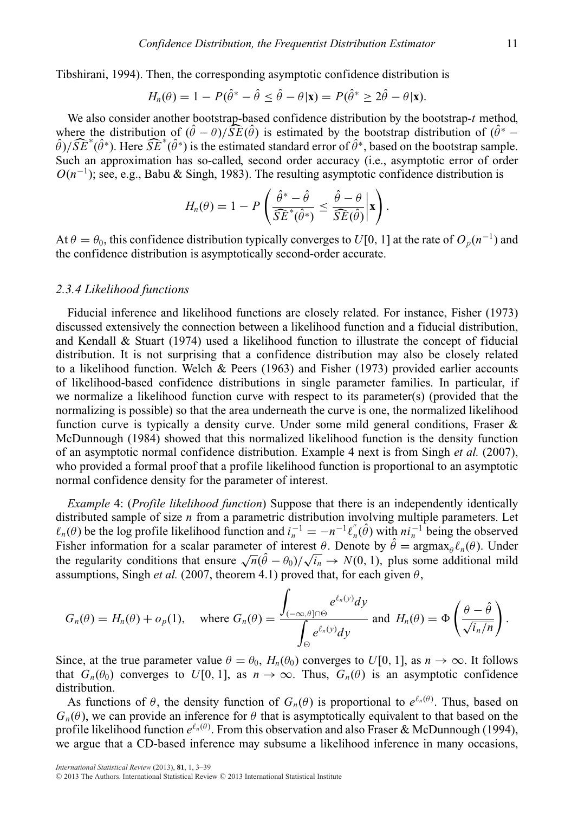Tibshirani, 1994). Then, the corresponding asymptotic confidence distribution is

$$
H_n(\theta) = 1 - P(\hat{\theta}^* - \hat{\theta} \le \hat{\theta} - \theta | \mathbf{x}) = P(\hat{\theta}^* \ge 2\hat{\theta} - \theta | \mathbf{x}).
$$

We also consider another bootstrap-based confidence distribution by the bootstrap-*t* method, where the distribution of  $(\hat{\theta} - \theta)/\widehat{SE}(\hat{\theta})$  is estimated by the bootstrap distribution of  $(\hat{\theta}^* \hat{\theta}$ )/ $\widehat{SE}^*(\hat{\theta}^*)$ . Here  $\widehat{SE}^*(\hat{\theta}^*)$  is the estimated standard error of  $\hat{\theta}^*$ , based on the bootstrap sample. Such an approximation has so-called, second order accuracy (i.e., asymptotic error of order  $O(n^{-1})$ ; see, e.g., Babu & Singh, 1983). The resulting asymptotic confidence distribution is

$$
H_n(\theta) = 1 - P\left(\frac{\hat{\theta}^* - \hat{\theta}}{\widehat{SE}^*(\hat{\theta}^*)} \leq \frac{\hat{\theta} - \theta}{\widehat{SE}(\hat{\theta})}\middle|\mathbf{x}\right).
$$

At  $\theta = \theta_0$ , this confidence distribution typically converges to *U*[0, 1] at the rate of  $O_p(n^{-1})$  and the confidence distribution is asymptotically second-order accurate.

#### *2.3.4 Likelihood functions*

Fiducial inference and likelihood functions are closely related. For instance, Fisher (1973) discussed extensively the connection between a likelihood function and a fiducial distribution, and Kendall & Stuart (1974) used a likelihood function to illustrate the concept of fiducial distribution. It is not surprising that a confidence distribution may also be closely related to a likelihood function. Welch & Peers (1963) and Fisher (1973) provided earlier accounts of likelihood-based confidence distributions in single parameter families. In particular, if we normalize a likelihood function curve with respect to its parameter(s) (provided that the normalizing is possible) so that the area underneath the curve is one, the normalized likelihood function curve is typically a density curve. Under some mild general conditions, Fraser  $\&$ McDunnough (1984) showed that this normalized likelihood function is the density function of an asymptotic normal confidence distribution. Example 4 next is from Singh *et al.* (2007), who provided a formal proof that a profile likelihood function is proportional to an asymptotic normal confidence density for the parameter of interest.

*Example* 4: (*Profile likelihood function*) Suppose that there is an independently identically distributed sample of size *n* from a parametric distribution involving multiple parameters. Let  $\ell_n(\theta)$  be the log profile likelihood function and  $i_n^{-1} = -n^{-1} \ell_n(\hat{\theta})$  with  $ni_n^{-1}$  being the observed Fisher information for a scalar parameter of interest  $\theta$ . Denote by  $\hat{\theta} = \arg \max_{\theta} \ell_n(\theta)$ . Under Fisher information for a scalar parameter of interest  $\theta$ . Denote by  $\theta = \arg \max_{\theta} \ell_n(\theta)$ . Under<br>the regularity conditions that ensure  $\sqrt{n}(\hat{\theta} - \theta_0)/\sqrt{i_n} \rightarrow N(0, 1)$ , plus some additional mild assumptions, Singh *et al.* (2007, theorem 4.1) proved that, for each given  $\theta$ ,

$$
G_n(\theta) = H_n(\theta) + o_p(1), \quad \text{where } G_n(\theta) = \frac{\int_{(-\infty,\theta] \cap \Theta} e^{\ell_n(y)} dy}{\int_{\Theta} e^{\ell_n(y)} dy} \text{ and } H_n(\theta) = \Phi\left(\frac{\theta - \hat{\theta}}{\sqrt{i_n/n}}\right).
$$

Since, at the true parameter value  $\theta = \theta_0$ ,  $H_n(\theta_0)$  converges to  $U[0, 1]$ , as  $n \to \infty$ . It follows that  $G_n(\theta_0)$  converges to  $U[0, 1]$ , as  $n \to \infty$ . Thus,  $G_n(\theta)$  is an asymptotic confidence distribution.

As functions of  $\theta$ , the density function of  $G_n(\theta)$  is proportional to  $e^{\ell_n(\theta)}$ . Thus, based on  $G_n(\theta)$ , we can provide an inference for  $\theta$  that is asymptotically equivalent to that based on the profile likelihood function  $e^{\ell_n(\theta)}$ . From this observation and also Fraser & McDunnough (1994), we argue that a CD-based inference may subsume a likelihood inference in many occasions,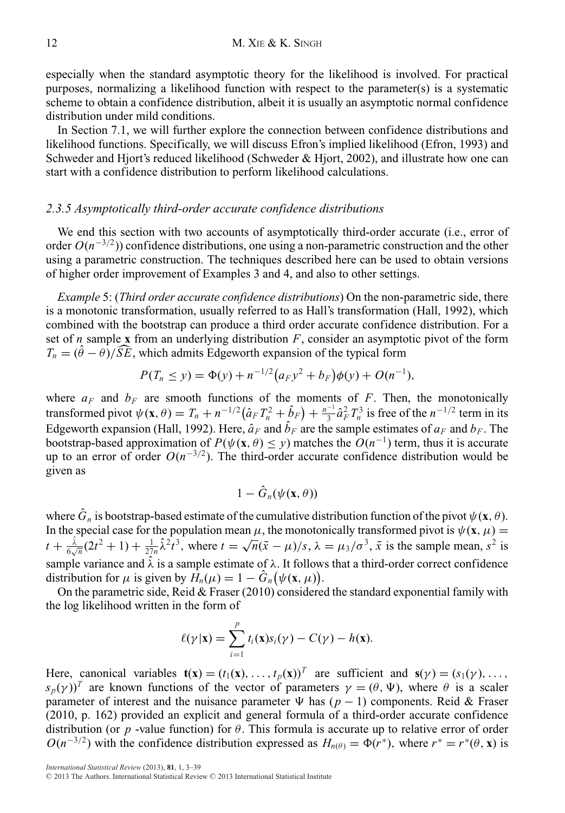especially when the standard asymptotic theory for the likelihood is involved. For practical purposes, normalizing a likelihood function with respect to the parameter(s) is a systematic scheme to obtain a confidence distribution, albeit it is usually an asymptotic normal confidence distribution under mild conditions.

In Section 7.1, we will further explore the connection between confidence distributions and likelihood functions. Specifically, we will discuss Efron's implied likelihood (Efron, 1993) and Schweder and Hjort's reduced likelihood (Schweder & Hjort, 2002), and illustrate how one can start with a confidence distribution to perform likelihood calculations.

#### *2.3.5 Asymptotically third-order accurate confidence distributions*

We end this section with two accounts of asymptotically third-order accurate (i.e., error of order  $O(n^{-3/2})$ ) confidence distributions, one using a non-parametric construction and the other using a parametric construction. The techniques described here can be used to obtain versions of higher order improvement of Examples 3 and 4, and also to other settings.

*Example* 5: (*Third order accurate confidence distributions*) On the non-parametric side, there is a monotonic transformation, usually referred to as Hall's transformation (Hall, 1992), which combined with the bootstrap can produce a third order accurate confidence distribution. For a set of *n* sample **x** from an underlying distribution *F*, consider an asymptotic pivot of the form  $T_n = (\hat{\theta} - \theta)/\widehat{SE}$ , which admits Edgeworth expansion of the typical form

$$
P(T_n \le y) = \Phi(y) + n^{-1/2} (a_F y^2 + b_F) \phi(y) + O(n^{-1}),
$$

where  $a_F$  and  $b_F$  are smooth functions of the moments of *F*. Then, the monotonically transformed pivot  $\psi(\mathbf{x}, \theta) = T_n + n^{-1/2} (\hat{a}_F T_n^2 + \hat{b}_F) + \frac{n^{-1}}{3} \hat{a}_F^2 T_n^3$  is free of the  $n^{-1/2}$  term in its Edgeworth expansion (Hall, 1992). Here,  $\hat{a}_F$  and  $\hat{b}_F$  are the sample estimates of  $a_F$  and  $b_F$ . The bootstrap-based approximation of  $P(\psi(\mathbf{x}, \theta) \leq y)$  matches the  $O(n^{-1})$  term, thus it is accurate up to an error of order  $O(n^{-3/2})$ . The third-order accurate confidence distribution would be given as

$$
1-\hat{G}_n(\psi(\mathbf{x},\theta))
$$

where  $\hat{G}_n$  is bootstrap-based estimate of the cumulative distribution function of the pivot  $\psi(\mathbf{x}, \theta)$ . In the special case for the population mean  $\mu$ , the monotonically transformed pivot is  $\psi(\mathbf{x}, \mu) =$ *t* +  $\frac{\hat{\lambda}}{6\sqrt{n}}(2t^2 + 1) + \frac{1}{27n}\hat{\lambda}^2 t^3$ , where  $t = \sqrt{n}(\bar{x} - \mu)/s$ ,  $\lambda = \mu_3/\sigma^3$ ,  $\bar{x}$  is the sample mean,  $s^2$  is sample variance and  $\hat{\lambda}$  is a sample estimate of  $\lambda$ . It follows that a third-order correct confidence distribution for  $\mu$  is given by  $\tilde{H}_n(\mu) = 1 - \hat{G}_n(\psi(\mathbf{x}, \mu)).$ 

On the parametric side, Reid & Fraser (2010) considered the standard exponential family with the log likelihood written in the form of

$$
\ell(\gamma|\mathbf{x}) = \sum_{i=1}^p t_i(\mathbf{x})s_i(\gamma) - C(\gamma) - h(\mathbf{x}).
$$

Here, canonical variables  $\mathbf{t}(\mathbf{x}) = (t_1(\mathbf{x}), \dots, t_p(\mathbf{x}))^T$  are sufficient and  $\mathbf{s}(\gamma) = (s_1(\gamma), \dots, s_p(\gamma))$  $s_p(\gamma)$ <sup>T</sup> are known functions of the vector of parameters  $\gamma = (\theta, \Psi)$ , where  $\theta$  is a scaler parameter of interest and the nuisance parameter  $\Psi$  has (*p* − 1) components. Reid & Fraser (2010, p. 162) provided an explicit and general formula of a third-order accurate confidence distribution (or  $p$  -value function) for  $\theta$ . This formula is accurate up to relative error of order  $O(n^{-3/2})$  with the confidence distribution expressed as  $H_{n(\theta)} = \Phi(r^*)$ , where  $r^* = r^*(\theta, \mathbf{x})$  is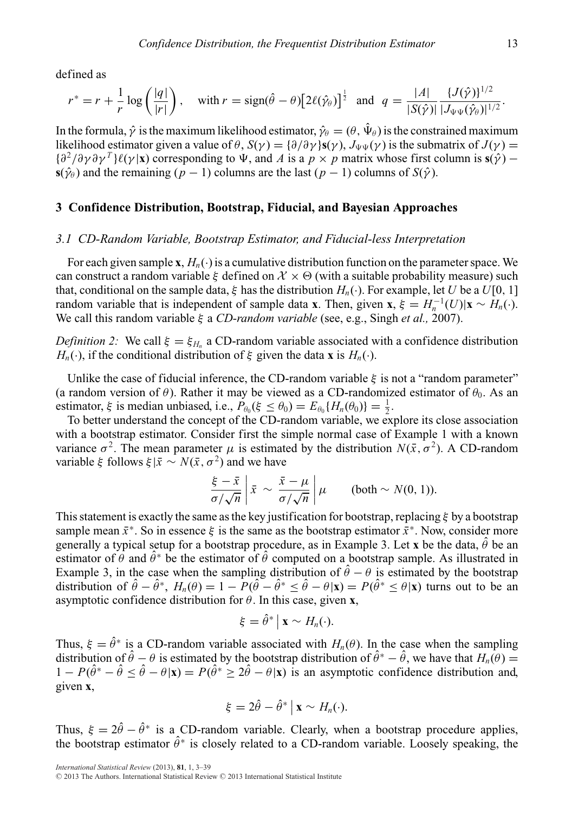defined as

$$
r^* = r + \frac{1}{r} \log \left( \frac{|q|}{|r|} \right), \quad \text{with } r = \text{sign}(\hat{\theta} - \theta) \left[ 2\ell(\hat{\gamma}_{\theta}) \right]^{\frac{1}{2}} \text{ and } q = \frac{|A|}{|S(\hat{\gamma})|} \frac{\{J(\hat{\gamma})\}^{1/2}}{|J_{\Psi}\psi(\hat{\gamma}_{\theta})|^{1/2}}.
$$

In the formula,  $\hat{\gamma}$  is the maximum likelihood estimator,  $\hat{\gamma}_{\theta} = (\theta, \hat{\Psi}_{\theta})$  is the constrained maximum likelihood estimator given a value of  $\theta$ ,  $S(\gamma) = {\partial/\partial \gamma} s(\gamma)$ ,  $J_{\psi\psi}(\gamma)$  is the submatrix of  $J(\gamma) =$  $\{\partial^2/\partial \gamma \partial \gamma^T\} \ell(\gamma|\mathbf{x})$  corresponding to  $\Psi$ , and A is a  $p \times p$  matrix whose first column is  $\mathbf{s}(\hat{\gamma})$  – **s**( $\hat{v}_{\theta}$ ) and the remaining (*p* − 1) columns are the last (*p* − 1) columns of *S*( $\hat{v}$ ).

#### **3 Confidence Distribution, Bootstrap, Fiducial, and Bayesian Approaches**

#### *3.1 CD-Random Variable, Bootstrap Estimator, and Fiducial-less Interpretation*

For each given sample **x**,  $H_n(\cdot)$  is a cumulative distribution function on the parameter space. We can construct a random variable  $\xi$  defined on  $\mathcal{X} \times \Theta$  (with a suitable probability measure) such that, conditional on the sample data,  $\xi$  has the distribution  $H_n(\cdot)$ . For example, let *U* be a  $U[0, 1]$ random variable that is independent of sample data **x**. Then, given **x**,  $\xi = H_n^{-1}(U)|\mathbf{x} \sim H_n(\cdot)$ . We call this random variable ξ a *CD-random variable* (see, e.g., Singh *et al.,* 2007).

*Definition 2:* We call  $\xi = \xi_{H_n}$  a CD-random variable associated with a confidence distribution *H<sub>n</sub>*(·), if the conditional distribution of  $\xi$  given the data **x** is  $H_n(\cdot)$ .

Unlike the case of fiducial inference, the CD-random variable  $\xi$  is not a "random parameter" (a random version of  $\theta$ ). Rather it may be viewed as a CD-randomized estimator of  $\theta_0$ . As an estimator,  $\xi$  is median unbiased, i.e.,  $P_{\theta_0}(\xi \le \theta_0) = E_{\theta_0} \{H_n(\theta_0)\} = \frac{1}{2}$ .

To better understand the concept of the CD-random variable, we explore its close association with a bootstrap estimator. Consider first the simple normal case of Example 1 with a known variance  $\sigma^2$ . The mean parameter  $\mu$  is estimated by the distribution  $N(\bar{x}, \sigma^2)$ . A CD-random variable ξ follows ξ | $\bar{x} \sim N(\bar{x}, \sigma^2)$  and we have

$$
\frac{\xi - \bar{x}}{\sigma/\sqrt{n}} \left| \bar{x} \sim \frac{\bar{x} - \mu}{\sigma/\sqrt{n}} \right| \mu \quad \text{(both } \sim N(0, 1)).
$$

This statement is exactly the same as the key justification for bootstrap, replacing  $\xi$  by a bootstrap sample mean  $\bar{x}^*$ . So in essence  $\xi$  is the same as the bootstrap estimator  $\bar{x}^*$ . Now, consider more generally a typical setup for a bootstrap procedure, as in Example 3. Let **x** be the data,  $\hat{\theta}$  be an estimator of  $\hat{\theta}$  and  $\hat{\theta}^*$  be the estimator of  $\hat{\theta}$  computed on a bootstrap sample. As illustrated in Example 3, in the case when the sampling distribution of  $\hat{\theta} - \theta$  is estimated by the bootstrap distribution of  $\hat{\theta} - \hat{\theta}^*$ ,  $H_n(\theta) = 1 - P(\hat{\theta} - \hat{\theta}^* < \hat{\theta} - \theta | \mathbf{x}) = P(\hat{\theta}^* < \theta | \mathbf{x})$  turns out to be an asymptotic confidence distribution for  $\theta$ . In this case, given **x**,

$$
\xi = \hat{\theta}^* \mid \mathbf{x} \sim H_n(\cdot).
$$

Thus,  $\xi = \hat{\theta}^*$  is a CD-random variable associated with  $H_n(\theta)$ . In the case when the sampling distribution of  $\hat{\theta} - \theta$  is estimated by the bootstrap distribution of  $\hat{\theta}^* - \hat{\theta}$ , we have that  $H_n(\theta) =$  $1 - P(\hat{\theta}^* - \hat{\theta} \le \hat{\theta} - \theta | \mathbf{x}) = P(\hat{\theta}^* \ge 2\hat{\theta} - \theta | \mathbf{x})$  is an asymptotic confidence distribution and, given **x**,

$$
\xi = 2\hat{\theta} - \hat{\theta}^* \mid \mathbf{x} \sim H_n(\cdot).
$$

Thus,  $\xi = 2\hat{\theta} - \hat{\theta}^*$  is a CD-random variable. Clearly, when a bootstrap procedure applies, the bootstrap estimator  $\hat{\theta}^*$  is closely related to a CD-random variable. Loosely speaking, the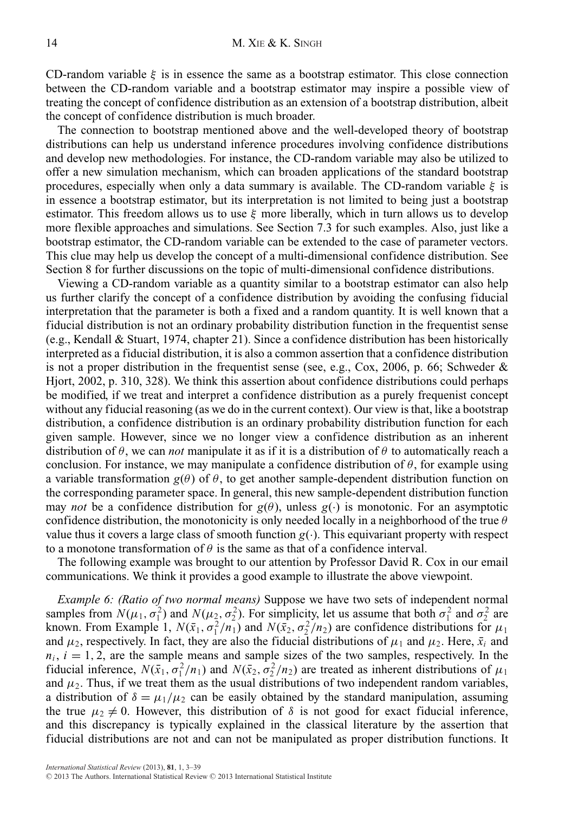CD-random variable  $\xi$  is in essence the same as a bootstrap estimator. This close connection between the CD-random variable and a bootstrap estimator may inspire a possible view of treating the concept of confidence distribution as an extension of a bootstrap distribution, albeit the concept of confidence distribution is much broader.

The connection to bootstrap mentioned above and the well-developed theory of bootstrap distributions can help us understand inference procedures involving confidence distributions and develop new methodologies. For instance, the CD-random variable may also be utilized to offer a new simulation mechanism, which can broaden applications of the standard bootstrap procedures, especially when only a data summary is available. The CD-random variable  $\xi$  is in essence a bootstrap estimator, but its interpretation is not limited to being just a bootstrap estimator. This freedom allows us to use  $\xi$  more liberally, which in turn allows us to develop more flexible approaches and simulations. See Section 7.3 for such examples. Also, just like a bootstrap estimator, the CD-random variable can be extended to the case of parameter vectors. This clue may help us develop the concept of a multi-dimensional confidence distribution. See Section 8 for further discussions on the topic of multi-dimensional confidence distributions.

Viewing a CD-random variable as a quantity similar to a bootstrap estimator can also help us further clarify the concept of a confidence distribution by avoiding the confusing fiducial interpretation that the parameter is both a fixed and a random quantity. It is well known that a fiducial distribution is not an ordinary probability distribution function in the frequentist sense (e.g., Kendall & Stuart, 1974, chapter 21). Since a confidence distribution has been historically interpreted as a fiducial distribution, it is also a common assertion that a confidence distribution is not a proper distribution in the frequentist sense (see, e.g., Cox, 2006, p. 66; Schweder  $\&$ Hjort, 2002, p. 310, 328). We think this assertion about confidence distributions could perhaps be modified, if we treat and interpret a confidence distribution as a purely frequenist concept without any fiducial reasoning (as we do in the current context). Our view is that, like a bootstrap distribution, a confidence distribution is an ordinary probability distribution function for each given sample. However, since we no longer view a confidence distribution as an inherent distribution of  $\theta$ , we can *not* manipulate it as if it is a distribution of  $\theta$  to automatically reach a conclusion. For instance, we may manipulate a confidence distribution of  $\theta$ , for example using a variable transformation  $g(\theta)$  of  $\theta$ , to get another sample-dependent distribution function on the corresponding parameter space. In general, this new sample-dependent distribution function may *not* be a confidence distribution for  $g(\theta)$ , unless  $g(\cdot)$  is monotonic. For an asymptotic confidence distribution, the monotonicity is only needed locally in a neighborhood of the true  $\theta$ value thus it covers a large class of smooth function  $g(\cdot)$ . This equivariant property with respect to a monotone transformation of  $\theta$  is the same as that of a confidence interval.

The following example was brought to our attention by Professor David R. Cox in our email communications. We think it provides a good example to illustrate the above viewpoint.

*Example 6: (Ratio of two normal means)* Suppose we have two sets of independent normal samples from  $N(\mu_1, \sigma_1^2)$  and  $N(\mu_2, \sigma_2^2)$ . For simplicity, let us assume that both  $\sigma_1^2$  and  $\sigma_2^2$  are known. From Example 1,  $N(\bar{x}_1, \sigma_1^2/n_1)$  and  $N(\bar{x}_2, \sigma_2^2/n_2)$  are confidence distributions for  $\mu_1$ and  $\mu_2$ , respectively. In fact, they are also the fiducial distributions of  $\mu_1$  and  $\mu_2$ . Here,  $\bar{x}_i$  and  $n_i$ ,  $i = 1, 2$ , are the sample means and sample sizes of the two samples, respectively. In the fiducial inference,  $N(\bar{x}_1, \sigma_1^2/n_1)$  and  $N(\bar{x}_2, \sigma_2^2/n_2)$  are treated as inherent distributions of  $\mu_1$ and  $\mu_2$ . Thus, if we treat them as the usual distributions of two independent random variables, a distribution of  $\delta = \mu_1/\mu_2$  can be easily obtained by the standard manipulation, assuming the true  $\mu_2 \neq 0$ . However, this distribution of  $\delta$  is not good for exact fiducial inference, and this discrepancy is typically explained in the classical literature by the assertion that fiducial distributions are not and can not be manipulated as proper distribution functions. It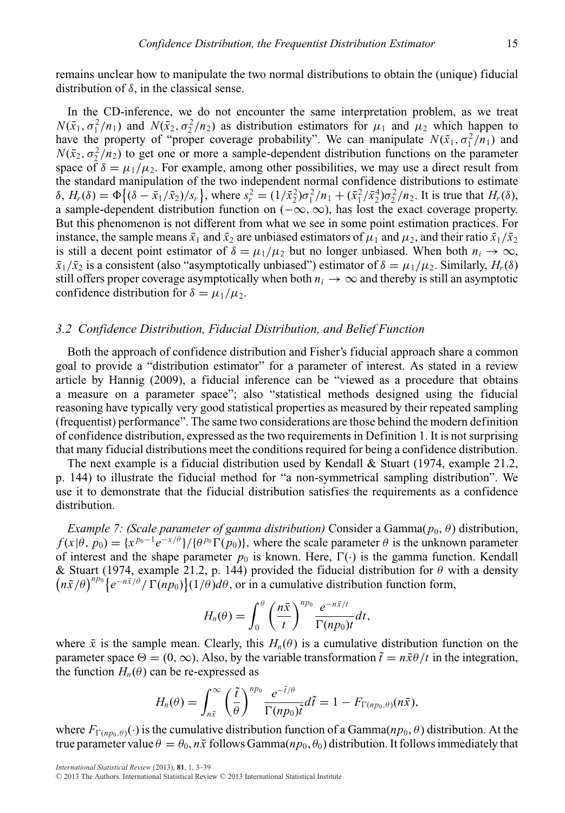remains unclear how to manipulate the two normal distributions to obtain the (unique) fiducial distribution of  $\delta$ , in the classical sense.

In the CD-inference, we do not encounter the same interpretation problem, as we treat  $N(\bar{x}_1, \sigma_1^2/n_1)$  and  $N(\bar{x}_2, \sigma_2^2/n_2)$  as distribution estimators for  $\mu_1$  and  $\mu_2$  which happen to have the property of "proper coverage probability". We can manipulate  $N(\bar{x}_1, \sigma_1^2/n_1)$  and  $N(\bar{x}_2, \sigma_2^2/n_2)$  to get one or more a sample-dependent distribution functions on the parameter space of  $\delta = \mu_1/\mu_2$ . For example, among other possibilities, we may use a direct result from the standard manipulation of the two independent normal confidence distributions to estimate  $δ$ ,  $H_r(δ) = Φ[(δ – *π*<sub>1</sub>/*π*<sub>2</sub>)/s<sub>r</sub>$ , where  $s_r^2 = (1/π_2^2)σ_1^2/n_1 + (π_1^2/π_2^4)σ_2^2/n_2$ . It is true that  $H_r(δ)$ , a sample-dependent distribution function on ( $-\infty$ ,  $\infty$ ), has lost the exact coverage property. But this phenomenon is not different from what we see in some point estimation practices. For instance, the sample means  $\bar{x}_1$  and  $\bar{x}_2$  are unbiased estimators of  $\mu_1$  and  $\mu_2$ , and their ratio  $\bar{x}_1/\bar{x}_2$ is still a decent point estimator of  $\delta = \mu_1/\mu_2$  but no longer unbiased. When both  $n_i \to \infty$ ,  $\bar{x}_1/\bar{x}_2$  is a consistent (also "asymptotically unbiased") estimator of  $\delta = \mu_1/\mu_2$ . Similarly,  $H_r(\delta)$ still offers proper coverage asymptotically when both  $n_i \rightarrow \infty$  and thereby is still an asymptotic confidence distribution for  $\delta = \mu_1/\mu_2$ .

### *3.2 Confidence Distribution, Fiducial Distribution, and Belief Function*

Both the approach of confidence distribution and Fisher's fiducial approach share a common goal to provide a "distribution estimator" for a parameter of interest. As stated in a review article by Hannig (2009), a fiducial inference can be "viewed as a procedure that obtains a measure on a parameter space"; also "statistical methods designed using the fiducial reasoning have typically very good statistical properties as measured by their repeated sampling (frequentist) performance". The same two considerations are those behind the modern definition of confidence distribution, expressed as the two requirements in Definition 1. It is not surprising that many fiducial distributions meet the conditions required for being a confidence distribution.

The next example is a fiducial distribution used by Kendall & Stuart (1974, example 21.2, p. 144) to illustrate the fiducial method for "a non-symmetrical sampling distribution". We use it to demonstrate that the fiducial distribution satisfies the requirements as a confidence distribution.

*Example 7: (Scale parameter of gamma distribution)* Consider a Gamma $(p_0, \theta)$  distribution,  $f(x|\theta, p_0) = \{x^{p_0-1}e^{-x/\theta}\}/\{\theta^{p_0}\Gamma(p_0)\}\,$ , where the scale parameter  $\theta$  is the unknown parameter of interest and the shape parameter  $p_0$  is known. Here,  $\Gamma(\cdot)$  is the gamma function. Kendall & Stuart (1974, example 21.2, p. 144) provided the fiducial distribution for  $\theta$  with a density  $(n\bar{x}/\theta)^{np_0} \{e^{-n\bar{x}/\theta}/\Gamma(np_0)\}(1/\theta)d\theta$ , or in a cumulative distribution function form,

$$
H_n(\theta) = \int_0^{\theta} \left(\frac{n\bar{x}}{t}\right)^{np_0} \frac{e^{-n\bar{x}/t}}{\Gamma(np_0)t} dt,
$$

where  $\bar{x}$  is the sample mean. Clearly, this  $H_n(\theta)$  is a cumulative distribution function on the parameter space  $\Theta = (0, \infty)$ . Also, by the variable transformation  $\tilde{t} = n\bar{x}\theta/t$  in the integration, the function  $H_n(\theta)$  can be re-expressed as

$$
H_n(\theta) = \int_{n\bar{x}}^{\infty} \left(\frac{\tilde{t}}{\theta}\right)^{np_0} \frac{e^{-\tilde{t}/\theta}}{\Gamma(np_0)\tilde{t}} d\tilde{t} = 1 - F_{\Gamma(np_0,\theta)}(n\bar{x}),
$$

where  $F_{\Gamma(np_0,\theta)}(\cdot)$  is the cumulative distribution function of a Gamma $(np_0, \theta)$  distribution. At the true parameter value  $\theta = \theta_0$ ,  $n\bar{x}$  follows Gamma $(np_0, \theta_0)$  distribution. It follows immediately that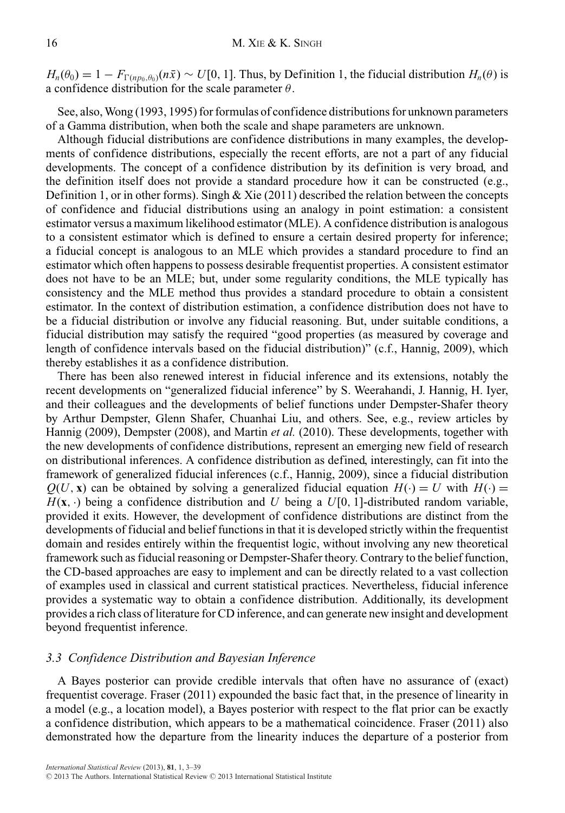$H_n(\theta_0) = 1 - F_{\Gamma(np_0, \theta_0)}(n\bar{x}) \sim U[0, 1]$ . Thus, by Definition 1, the fiducial distribution  $H_n(\theta)$  is a confidence distribution for the scale parameter  $\theta$ .

See, also, Wong (1993, 1995) for formulas of confidence distributions for unknown parameters of a Gamma distribution, when both the scale and shape parameters are unknown.

Although fiducial distributions are confidence distributions in many examples, the developments of confidence distributions, especially the recent efforts, are not a part of any fiducial developments. The concept of a confidence distribution by its definition is very broad, and the definition itself does not provide a standard procedure how it can be constructed (e.g., Definition 1, or in other forms). Singh & Xie (2011) described the relation between the concepts of confidence and fiducial distributions using an analogy in point estimation: a consistent estimator versus a maximum likelihood estimator (MLE). A confidence distribution is analogous to a consistent estimator which is defined to ensure a certain desired property for inference; a fiducial concept is analogous to an MLE which provides a standard procedure to find an estimator which often happens to possess desirable frequentist properties. A consistent estimator does not have to be an MLE; but, under some regularity conditions, the MLE typically has consistency and the MLE method thus provides a standard procedure to obtain a consistent estimator. In the context of distribution estimation, a confidence distribution does not have to be a fiducial distribution or involve any fiducial reasoning. But, under suitable conditions, a fiducial distribution may satisfy the required "good properties (as measured by coverage and length of confidence intervals based on the fiducial distribution)" (c.f., Hannig, 2009), which thereby establishes it as a confidence distribution.

There has been also renewed interest in fiducial inference and its extensions, notably the recent developments on "generalized fiducial inference" by S. Weerahandi, J. Hannig, H. Iyer, and their colleagues and the developments of belief functions under Dempster-Shafer theory by Arthur Dempster, Glenn Shafer, Chuanhai Liu, and others. See, e.g., review articles by Hannig (2009), Dempster (2008), and Martin *et al.* (2010). These developments, together with the new developments of confidence distributions, represent an emerging new field of research on distributional inferences. A confidence distribution as defined, interestingly, can fit into the framework of generalized fiducial inferences (c.f., Hannig, 2009), since a fiducial distribution  $Q(U, x)$  can be obtained by solving a generalized fiducial equation  $H(\cdot) = U$  with  $H(\cdot) =$  $H(\mathbf{x}, \cdot)$  being a confidence distribution and *U* being a  $U[0, 1]$ -distributed random variable, provided it exits. However, the development of confidence distributions are distinct from the developments of fiducial and belief functions in that it is developed strictly within the frequentist domain and resides entirely within the frequentist logic, without involving any new theoretical framework such as fiducial reasoning or Dempster-Shafer theory. Contrary to the belief function, the CD-based approaches are easy to implement and can be directly related to a vast collection of examples used in classical and current statistical practices. Nevertheless, fiducial inference provides a systematic way to obtain a confidence distribution. Additionally, its development provides a rich class of literature for CD inference, and can generate new insight and development beyond frequentist inference.

#### *3.3 Confidence Distribution and Bayesian Inference*

A Bayes posterior can provide credible intervals that often have no assurance of (exact) frequentist coverage. Fraser (2011) expounded the basic fact that, in the presence of linearity in a model (e.g., a location model), a Bayes posterior with respect to the flat prior can be exactly a confidence distribution, which appears to be a mathematical coincidence. Fraser (2011) also demonstrated how the departure from the linearity induces the departure of a posterior from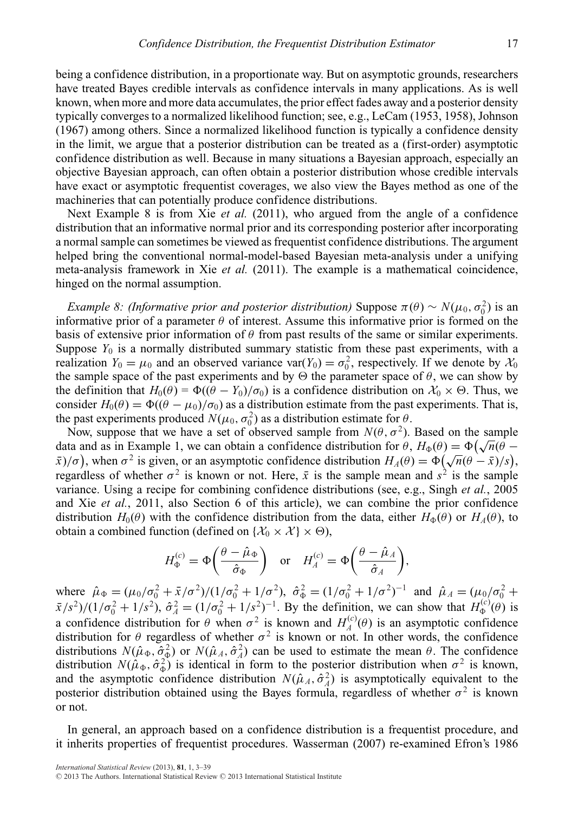being a confidence distribution, in a proportionate way. But on asymptotic grounds, researchers have treated Bayes credible intervals as confidence intervals in many applications. As is well known, when more and more data accumulates, the prior effect fades away and a posterior density typically converges to a normalized likelihood function; see, e.g., LeCam (1953, 1958), Johnson (1967) among others. Since a normalized likelihood function is typically a confidence density in the limit, we argue that a posterior distribution can be treated as a (first-order) asymptotic confidence distribution as well. Because in many situations a Bayesian approach, especially an objective Bayesian approach, can often obtain a posterior distribution whose credible intervals have exact or asymptotic frequentist coverages, we also view the Bayes method as one of the machineries that can potentially produce confidence distributions.

Next Example 8 is from Xie *et al.* (2011), who argued from the angle of a confidence distribution that an informative normal prior and its corresponding posterior after incorporating a normal sample can sometimes be viewed as frequentist confidence distributions. The argument helped bring the conventional normal-model-based Bayesian meta-analysis under a unifying meta-analysis framework in Xie *et al.* (2011). The example is a mathematical coincidence, hinged on the normal assumption.

*Example 8: (Informative prior and posterior distribution)* Suppose  $\pi(\theta) \sim N(\mu_0, \sigma_0^2)$  is an informative prior of a parameter  $\theta$  of interest. Assume this informative prior is formed on the basis of extensive prior information of  $\theta$  from past results of the same or similar experiments. Suppose  $Y_0$  is a normally distributed summary statistic from these past experiments, with a realization  $Y_0 = \mu_0$  and an observed variance var( $Y_0$ ) =  $\sigma_0^2$ , respectively. If we denote by  $\mathcal{X}_0$ the sample space of the past experiments and by  $\Theta$  the parameter space of  $\theta$ , we can show by the definition that  $H_0(\theta) = \Phi((\theta - Y_0)/\sigma_0)$  is a confidence distribution on  $\mathcal{X}_0 \times \Theta$ . Thus, we consider  $H_0(\theta) = \Phi((\theta - \mu_0)/\sigma_0)$  as a distribution estimate from the past experiments. That is, the past experiments produced  $N(\mu_0, \sigma_0^2)$  as a distribution estimate for  $\theta$ .

Now, suppose that we have a set of observed sample from  $N(\theta, \sigma^2)$ . Based on the sample Now, suppose that we have a set of observed sample from  $N(\theta, \sigma^2)$ . Based on the sample data and as in Example 1, we can obtain a confidence distribution for  $\theta$ ,  $H_{\Phi}(\theta) = \Phi(\sqrt{n}(\theta \int \frac{\partial}{\partial t} f(x) dx$  is given, or an asymptotic confidence distribution  $H_A(\theta) = \Phi(\sqrt{n}(\theta - \bar{x})/s)$ , regardless of whether  $\sigma^2$  is known or not. Here,  $\bar{x}$  is the sample mean and  $s^2$  is the sample variance. Using a recipe for combining confidence distributions (see, e.g., Singh *et al.*, 2005 and Xie *et al.*, 2011, also Section 6 of this article), we can combine the prior confidence distribution  $H_0(\theta)$  with the confidence distribution from the data, either  $H_{\Phi}(\theta)$  or  $H_A(\theta)$ , to obtain a combined function (defined on  $\{\mathcal{X}_0 \times \mathcal{X}\}\times \Theta$ ),

$$
H_{\Phi}^{(c)} = \Phi\left(\frac{\theta - \hat{\mu}_{\Phi}}{\hat{\sigma}_{\Phi}}\right) \quad \text{or} \quad H_{A}^{(c)} = \Phi\left(\frac{\theta - \hat{\mu}_{A}}{\hat{\sigma}_{A}}\right),
$$

where  $\hat{\mu}_{\Phi} = (\mu_0/\sigma_0^2 + \bar{x}/\sigma^2)/(1/\sigma_0^2 + 1/\sigma^2)$ ,  $\hat{\sigma}_{\Phi}^2 = (1/\sigma_0^2 + 1/\sigma^2)^{-1}$  and  $\hat{\mu}_A = (\mu_0/\sigma_0^2 + 1/\sigma^2)^{-1}$  $\frac{\partial \bar{x}}{\partial s^2}/\frac{1}{\sigma_0^2} + \frac{1}{s^2}$ ,  $\hat{\sigma}_A^2 = \frac{1}{\sigma_0^2} + \frac{1}{s^2}$ . By the definition, we can show that  $H_{\Phi}^{(c)}(\theta)$  is a confidence distribution for  $\theta$  when  $\sigma^2$  is known and  $H_A^{(c)}(\theta)$  is an asymptotic confidence distribution for  $\theta$  regardless of whether  $\sigma^2$  is known or not. In other words, the confidence distributions  $N(\hat{\mu}_{\Phi}, \hat{\sigma}_{\Phi}^2)$  or  $N(\hat{\mu}_A, \hat{\sigma}_A^2)$  can be used to estimate the mean  $\theta$ . The confidence distribution  $N(\hat{\mu}_{\Phi}, \hat{\sigma}_{\Phi}^2)$  is identical in form to the posterior distribution when  $\sigma^2$  is known, and the asymptotic confidence distribution  $N(\hat{\mu}_A, \hat{\sigma}_A^2)$  is asymptotically equivalent to the posterior distribution obtained using the Bayes formula, regardless of whether  $\sigma^2$  is known or not.

In general, an approach based on a confidence distribution is a frequentist procedure, and it inherits properties of frequentist procedures. Wasserman (2007) re-examined Efron's 1986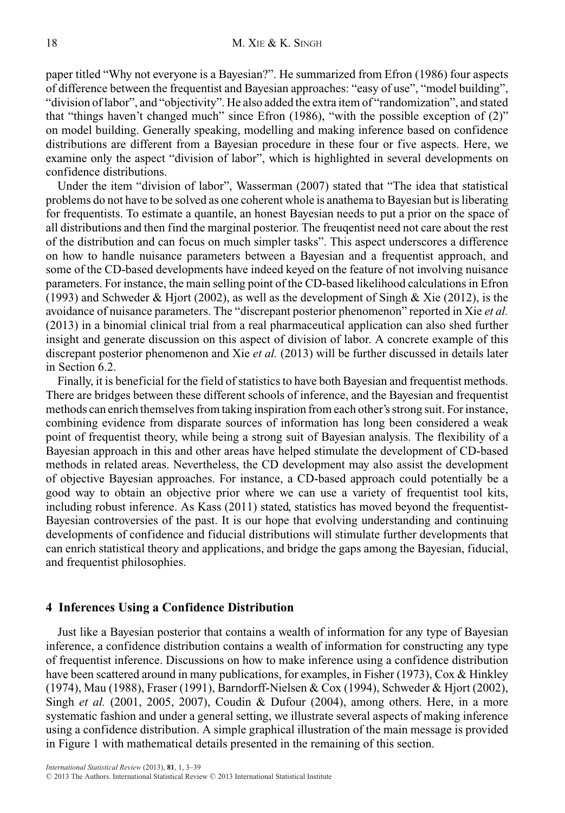paper titled "Why not everyone is a Bayesian?". He summarized from Efron (1986) four aspects of difference between the frequentist and Bayesian approaches: "easy of use", "model building", "division of labor", and "objectivity". He also added the extra item of "randomization", and stated that "things haven't changed much" since Efron (1986), "with the possible exception of (2)" on model building. Generally speaking, modelling and making inference based on confidence distributions are different from a Bayesian procedure in these four or five aspects. Here, we examine only the aspect "division of labor", which is highlighted in several developments on confidence distributions.

Under the item "division of labor", Wasserman (2007) stated that "The idea that statistical problems do not have to be solved as one coherent whole is anathema to Bayesian but is liberating for frequentists. To estimate a quantile, an honest Bayesian needs to put a prior on the space of all distributions and then find the marginal posterior. The freuqentist need not care about the rest of the distribution and can focus on much simpler tasks". This aspect underscores a difference on how to handle nuisance parameters between a Bayesian and a frequentist approach, and some of the CD-based developments have indeed keyed on the feature of not involving nuisance parameters. For instance, the main selling point of the CD-based likelihood calculations in Efron (1993) and Schweder & Hjort (2002), as well as the development of Singh & Xie (2012), is the avoidance of nuisance parameters. The "discrepant posterior phenomenon" reported in Xie *et al.* (2013) in a binomial clinical trial from a real pharmaceutical application can also shed further insight and generate discussion on this aspect of division of labor. A concrete example of this discrepant posterior phenomenon and Xie *et al.* (2013) will be further discussed in details later in Section 6.2.

Finally, it is beneficial for the field of statistics to have both Bayesian and frequentist methods. There are bridges between these different schools of inference, and the Bayesian and frequentist methods can enrich themselves from taking inspiration from each other's strong suit. For instance, combining evidence from disparate sources of information has long been considered a weak point of frequentist theory, while being a strong suit of Bayesian analysis. The flexibility of a Bayesian approach in this and other areas have helped stimulate the development of CD-based methods in related areas. Nevertheless, the CD development may also assist the development of objective Bayesian approaches. For instance, a CD-based approach could potentially be a good way to obtain an objective prior where we can use a variety of frequentist tool kits, including robust inference. As Kass (2011) stated, statistics has moved beyond the frequentist-Bayesian controversies of the past. It is our hope that evolving understanding and continuing developments of confidence and fiducial distributions will stimulate further developments that can enrich statistical theory and applications, and bridge the gaps among the Bayesian, fiducial, and frequentist philosophies.

### **4 Inferences Using a Confidence Distribution**

Just like a Bayesian posterior that contains a wealth of information for any type of Bayesian inference, a confidence distribution contains a wealth of information for constructing any type of frequentist inference. Discussions on how to make inference using a confidence distribution have been scattered around in many publications, for examples, in Fisher (1973), Cox & Hinkley (1974), Mau (1988), Fraser (1991), Barndorff-Nielsen & Cox (1994), Schweder & Hjort (2002), Singh *et al.* (2001, 2005, 2007), Coudin & Dufour (2004), among others. Here, in a more systematic fashion and under a general setting, we illustrate several aspects of making inference using a confidence distribution. A simple graphical illustration of the main message is provided in Figure 1 with mathematical details presented in the remaining of this section.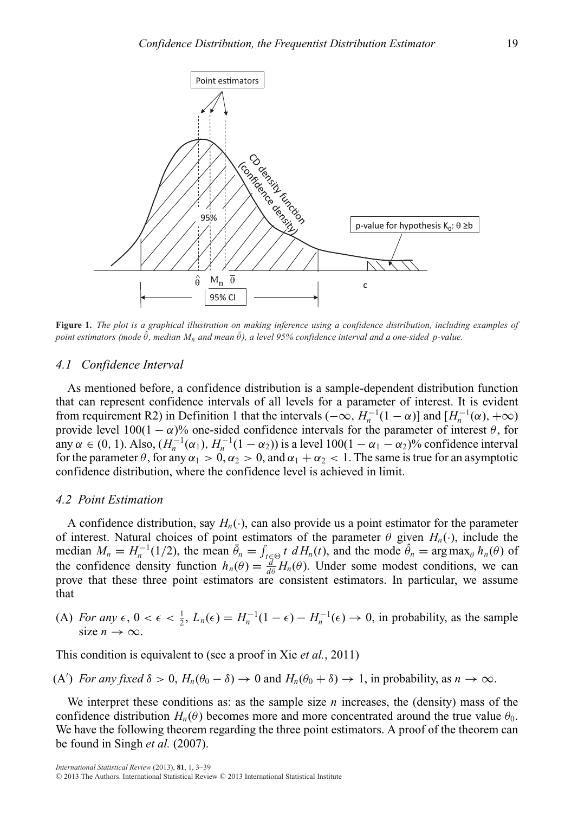

**Figure 1.** *The plot is a graphical illustration on making inference using a confidence distribution, including examples of point estimators (mode*  $\hat{\theta}$ *, median*  $M_n$  *and mean*  $\bar{\theta}$ *), a level 95% confidence interval and a one-sided p-value.* 

#### *4.1 Confidence Interval*

As mentioned before, a confidence distribution is a sample-dependent distribution function that can represent confidence intervals of all levels for a parameter of interest. It is evident from requirement R2) in Definition 1 that the intervals  $(-\infty, H_n^{-1}(1-\alpha)]$  and  $[H_n^{-1}(\alpha), +\infty)$ provide level  $100(1 - \alpha)$ % one-sided confidence intervals for the parameter of interest  $\theta$ , for any  $\alpha \in (0, 1)$ . Also,  $(H_n^{-1}(\alpha_1), H_n^{-1}(1 - \alpha_2))$  is a level 100(1 –  $\alpha_1 - \alpha_2$ )% confidence interval for the parameter  $\theta$ , for any  $\alpha_1 > 0$ ,  $\alpha_2 > 0$ , and  $\alpha_1 + \alpha_2 < 1$ . The same is true for an asymptotic confidence distribution, where the confidence level is achieved in limit.

#### *4.2 Point Estimation*

A confidence distribution, say  $H_n(\cdot)$ , can also provide us a point estimator for the parameter of interest. Natural choices of point estimators of the parameter  $\theta$  given  $H_n(\cdot)$ , include the median  $M_n = H_n^{-1}(1/2)$ , the mean  $\bar{\theta}_n = \int_{t \in \Theta} t \, dH_n(t)$ , and the mode  $\hat{\theta}_n = \arg \max_{\theta} h_n(\theta)$  of the confidence density function  $h_n(\theta) = \frac{d}{d\theta} H_n(\theta)$ . Under some modest conditions, we can prove that these three point estimators are consistent estimators. In particular, we assume that

(A) *For any*  $\epsilon$ ,  $0 < \epsilon < \frac{1}{2}$ ,  $L_n(\epsilon) = H_n^{-1}(1 - \epsilon) - H_n^{-1}(\epsilon) \to 0$ , in probability, as the sample size  $n \to \infty$ .

This condition is equivalent to (see a proof in Xie *et al.*, 2011)

(A') *For any fixed*  $\delta > 0$ ,  $H_n(\theta_0 - \delta) \to 0$  and  $H_n(\theta_0 + \delta) \to 1$ , in probability, as  $n \to \infty$ .

We interpret these conditions as: as the sample size *n* increases, the (density) mass of the confidence distribution  $H_n(\theta)$  becomes more and more concentrated around the true value  $\theta_0$ . We have the following theorem regarding the three point estimators. A proof of the theorem can be found in Singh *et al.* (2007).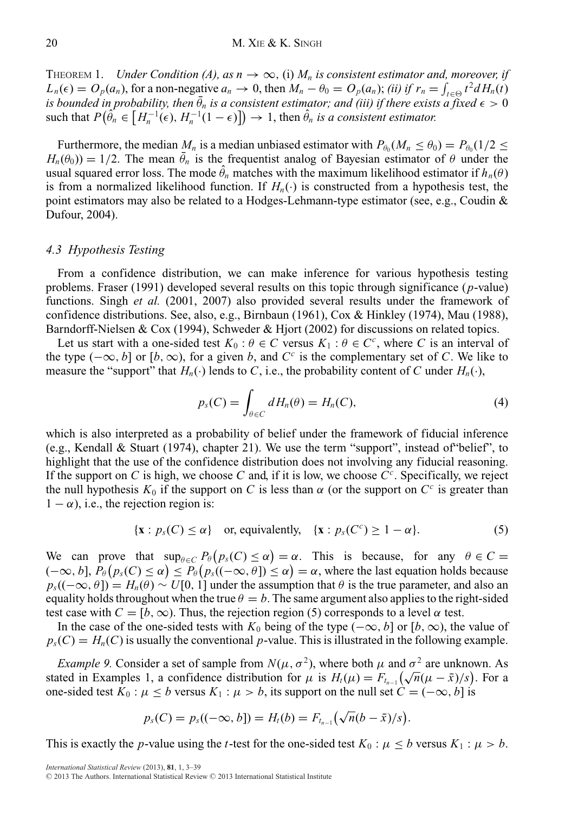THEOREM 1. *Under Condition (A), as*  $n \to \infty$ *, (i)*  $M_n$  *is consistent estimator and, moreover, if*  $L_n(\epsilon) = O_p(a_n)$ , for a non-negative  $a_n \to 0$ , then  $M_n - \theta_0 = O_p(a_n)$ ; *(ii) if*  $r_n = \int_{t \in \Theta} t^2 dH_n(t)$ is bounded in probability, then  $\bar{\theta}_n$  is a consistent estimator; and (iii) if there exists a fixed  $\epsilon > 0$ such that  $P(\hat{\theta}_n \in [H_n^{-1}(\epsilon), H_n^{-1}(1-\epsilon)]) \to 1$ , then  $\hat{\theta}_n$  *is a consistent estimator.* 

Furthermore, the median  $M_n$  is a median unbiased estimator with  $P_{\theta_0}(M_n \le \theta_0) = P_{\theta_0}(1/2 \le$  $H_n(\theta_0) = 1/2$ . The mean  $\bar{\theta}_n$  is the frequentist analog of Bayesian estimator of  $\theta$  under the usual squared error loss. The mode  $\hat{\theta}_n$  matches with the maximum likelihood estimator if  $h_n(\theta)$ is from a normalized likelihood function. If  $H_n(\cdot)$  is constructed from a hypothesis test, the point estimators may also be related to a Hodges-Lehmann-type estimator (see, e.g., Coudin & Dufour, 2004).

#### *4.3 Hypothesis Testing*

From a confidence distribution, we can make inference for various hypothesis testing problems. Fraser (1991) developed several results on this topic through significance (*p*-value) functions. Singh *et al.* (2001, 2007) also provided several results under the framework of confidence distributions. See, also, e.g., Birnbaun (1961), Cox & Hinkley (1974), Mau (1988), Barndorff-Nielsen & Cox (1994), Schweder & Hjort (2002) for discussions on related topics.

Let us start with a one-sided test  $K_0: \theta \in C$  versus  $K_1: \theta \in C^c$ , where *C* is an interval of the type  $(-\infty, b]$  or  $[b, \infty)$ , for a given *b*, and  $C^c$  is the complementary set of *C*. We like to measure the "support" that  $H_n(\cdot)$  lends to *C*, i.e., the probability content of *C* under  $H_n(\cdot)$ ,

$$
p_s(C) = \int_{\theta \in C} dH_n(\theta) = H_n(C), \tag{4}
$$

which is also interpreted as a probability of belief under the framework of fiducial inference (e.g., Kendall & Stuart (1974), chapter 21). We use the term "support", instead of"belief", to highlight that the use of the confidence distribution does not involving any fiducial reasoning. If the support on *C* is high, we choose *C* and, if it is low, we choose  $C^c$ . Specifically, we reject the null hypothesis  $K_0$  if the support on *C* is less than  $\alpha$  (or the support on  $C^c$  is greater than  $1 - \alpha$ ), i.e., the rejection region is:

$$
\{ \mathbf{x} : p_s(C) \le \alpha \} \quad \text{or, equivalently,} \quad \{ \mathbf{x} : p_s(C^c) \ge 1 - \alpha \}. \tag{5}
$$

We can prove that  $\sup_{\theta \in C} P_{\theta}(p_s(C) \le \alpha) = \alpha$ . This is because, for any  $\theta \in C$  $(-\infty, b]$ ,  $P_\theta(p_s(C) \le \alpha) \le P_\theta(p_s((-\infty, \theta]) \le \alpha) = \alpha$ , where the last equation holds because  $p_s((-\infty, \theta)) = H_n(\theta) \sim U[0, 1]$  under the assumption that  $\theta$  is the true parameter, and also an equality holds throughout when the true  $\theta = b$ . The same argument also applies to the right-sided test case with  $C = [b, \infty)$ . Thus, the rejection region (5) corresponds to a level  $\alpha$  test.

In the case of the one-sided tests with  $K_0$  being of the type  $(-\infty, b]$  or  $[b, \infty)$ , the value of  $p_s(C) = H_n(C)$  is usually the conventional *p*-value. This is illustrated in the following example.

*Example 9.* Consider a set of sample from  $N(\mu, \sigma^2)$ , where both  $\mu$  and  $\sigma^2$  are unknown. As *Example 9.* Consider a set of sample from  $N(\mu, \sigma^2)$ , where both  $\mu$  and  $\sigma^2$  are unknown. As stated in Examples 1, a confidence distribution for  $\mu$  is  $H_t(\mu) = F_{t_{n-1}}(\sqrt{n}(\mu - \bar{x})/s)$ . For a one-sided test  $K_0: \mu \leq b$  versus  $K_1: \mu > b$ , its support on the null set  $C = (-\infty, b]$  is

$$
p_s(C) = p_s((-\infty, b]) = H_t(b) = F_{t_{n-1}}(\sqrt{n}(b - \bar{x})/s).
$$

This is exactly the *p*-value using the *t*-test for the one-sided test  $K_0$ :  $\mu < b$  versus  $K_1$ :  $\mu > b$ .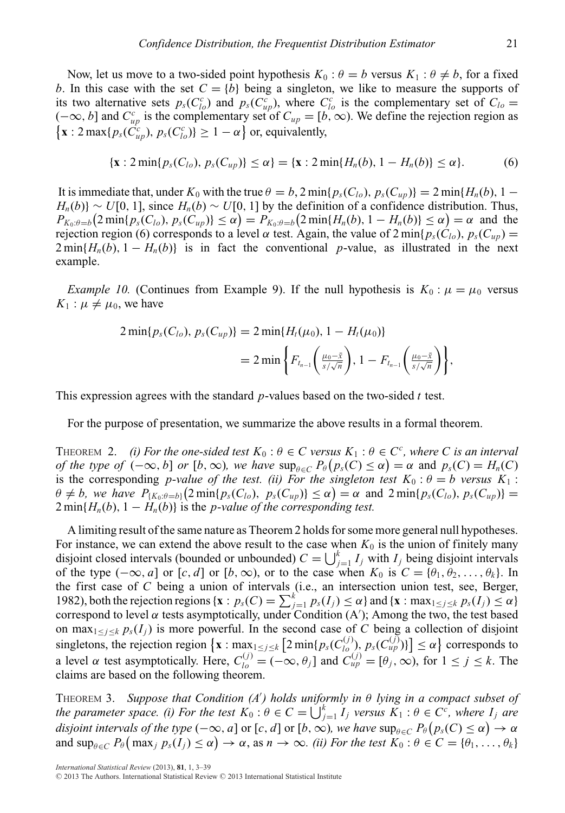Now, let us move to a two-sided point hypothesis  $K_0: \theta = b$  versus  $K_1: \theta \neq b$ , for a fixed *b*. In this case with the set  $C = \{b\}$  being a singleton, we like to measure the supports of its two alternative sets  $p_s(C_{l\rho}^c)$  and  $p_s(C_{up}^c)$ , where  $C_{l\rho}^c$  is the complementary set of  $C_{l\rho} =$  $(-\infty, b]$  and  $C_{up}^c$  is the complementary set of  $C_{up} = [b, \infty)$ . We define the rejection region as  $\{ \mathbf{x} : 2 \max\{p_s(\mathbf{C}_{up}^c), p_s(\mathbf{C}_{lo}^c)\} \ge 1 - \alpha \}$  or, equivalently,

$$
\{ \mathbf{x} : 2 \min\{p_s(C_{lo}), p_s(C_{up})\} \leq \alpha \} = \{ \mathbf{x} : 2 \min\{H_n(b), 1 - H_n(b)\} \leq \alpha \}. \tag{6}
$$

It is immediate that, under  $K_0$  with the true  $\theta = b$ ,  $2 \min\{p_s(C_{lo}), p_s(C_{up})\} = 2 \min\{H_n(b), 1 H_n(b)$ } ∼ *U*[0, 1], since  $H_n(b)$  ∼ *U*[0, 1] by the definition of a confidence distribution. Thus,  $P_{K_0: \theta=b}(2 \min\{p_s(C_{lo}), p_s(C_{up})\} \le \alpha) = P_{K_0: \theta=b}(2 \min\{H_n(b), 1 - H_n(b)\} \le \alpha) = \alpha$  and the rejection region (6) corresponds to a level  $\alpha$  test. Again, the value of  $2 \min\{p_s(C_{lo}), p_s(C_{up}) =$  $2 \min\{H_n(b), 1 - H_n(b)\}\$ is in fact the conventional *p*-value, as illustrated in the next example.

*Example 10.* (Continues from Example 9). If the null hypothesis is  $K_0: \mu = \mu_0$  versus  $K_1$  :  $\mu \neq \mu_0$ , we have

$$
2 \min\{p_s(C_{lo}), p_s(C_{up})\} = 2 \min\{H_t(\mu_0), 1 - H_t(\mu_0)\}
$$
  
= 
$$
2 \min\left\{F_{t_{n-1}}\left(\frac{\mu_0 - \bar{x}}{s/\sqrt{n}}\right), 1 - F_{t_{n-1}}\left(\frac{\mu_0 - \bar{x}}{s/\sqrt{n}}\right)\right\},\
$$

This expression agrees with the standard *p*-values based on the two-sided *t* test.

For the purpose of presentation, we summarize the above results in a formal theorem.

THEOREM 2. *(i) For the one-sided test*  $K_0: \theta \in C$  versus  $K_1: \theta \in C^c$ , where C is an interval *of the type of*  $(-\infty, b]$  *or*  $[b, \infty)$ *, we have*  $\sup_{\theta \in C} P_{\theta}(p_s(C) \le \alpha) = \alpha$  and  $p_s(C) = H_n(C)$ is the corresponding *p-value of the test. (ii) For the singleton test*  $K_0: \theta = b$  versus  $K_1$ :  $\theta \neq b$ , we have  $P_{\{K_0:\theta=b\}}(2 \min\{p_s(C_{lo}), p_s(C_{up})\} \leq \alpha) = \alpha$  and  $2 \min\{p_s(C_{lo}), p_s(C_{up})\} =$  $2 \min\{H_n(b), 1 - H_n(b)\}\$ is the *p*-value of the corresponding test.

A limiting result of the same nature as Theorem 2 holds for some more general null hypotheses. For instance, we can extend the above result to the case when  $K_0$  is the union of finitely many disjoint closed intervals (bounded or unbounded)  $C = \bigcup_{j=1}^{k} I_j$  with  $I_j$  being disjoint intervals of the type  $(-\infty, a]$  or  $[c, d]$  or  $[b, \infty)$ , or to the case when  $K_0$  is  $C = \{\theta_1, \theta_2, \dots, \theta_k\}$ . In the first case of *C* being a union of intervals (i.e., an intersection union test, see, Berger, 1982), both the rejection regions  $\{x : p_s(C) = \sum_{j=1}^k p_s(I_j) \leq \alpha\}$  and  $\{x : \max_{1 \leq j \leq k} p_s(I_j) \leq \alpha\}$ correspond to level  $\alpha$  tests asymptotically, under Condition (A'); Among the two, the test based on  $\max_{1 \leq j \leq k} p_s(I_j)$  is more powerful. In the second case of *C* being a collection of disjoint singletons, the rejection region  $\{ \mathbf{x} : \max_{1 \leq j \leq k} \left[ 2 \min\{ p_s(C_{lo}^{(j)}) , p_s(C_{up}^{(j)}) \} \right] \leq \alpha \}$  corresponds to a level  $\alpha$  test asymptotically. Here,  $C_{l_0}^{(j)} = (-\infty, \theta_j]$  and  $C_{up}^{(j)} = [\theta_j, \infty)$ , for  $1 \le j \le k$ . The claims are based on the following theorem.

THEOREM 3. Suppose that Condition  $(A')$  holds uniformly in  $\theta$  lying in a compact subset of *the parameter space. (i) For the test*  $K_0: \theta \in C = \bigcup_{j=1}^k I_j$  *versus*  $K_1: \theta \in C^c$ , *where*  $I_j$  *are disjoint intervals of the type*  $(-\infty, a]$  or  $[c, d]$  or  $[b, \infty)$ *, we have*  $\sup_{\theta \in C} P_{\theta}(p_s(C) \leq \alpha) \to \alpha$ and  $\sup_{\theta \in C} P_{\theta}(\max_j p_s(I_j) \leq \alpha) \to \alpha$ , as  $n \to \infty$ . *(ii) For the test*  $K_0 : \theta \in C = {\theta_1, \dots, \theta_k}$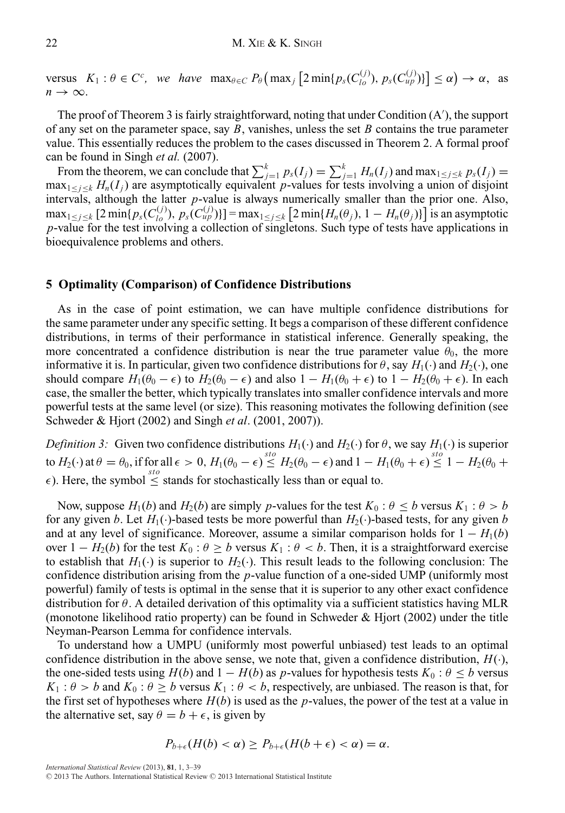versus  $K_1: \theta \in C^c$ , we have  $\max_{\theta \in C} P_{\theta} \left( \max_j \left[ 2 \min \{ p_s(C_{lo}^{(j)}) , p_s(C_{up}^{(j)}) \} \right] \le \alpha \right) \to \alpha$ , as  $n \rightarrow \infty$ .

The proof of Theorem 3 is fairly straightforward, noting that under Condition (A'), the support of any set on the parameter space, say *B*, vanishes, unless the set *B* contains the true parameter value. This essentially reduces the problem to the cases discussed in Theorem 2. A formal proof can be found in Singh *et al.* (2007).

From the theorem, we can conclude that  $\sum_{j=1}^{k} p_s(I_j) = \sum_{j=1}^{k} H_n(I_j)$  and  $\max_{1 \le j \le k} p_s(I_j) =$  $\max_{1 \leq j \leq k} H_n(I_j)$  are asymptotically equivalent *p*-values for tests involving a union of disjoint intervals, although the latter *p*-value is always numerically smaller than the prior one. Also,  $\max_{1 \le j \le k}$   $[2 \min\{p_s(C_{lo}^{(j)}), p_s(C_{up}^{(j)})\}] = \max_{1 \le j \le k} [2 \min\{H_n(\theta_j), 1 - H_n(\theta_j)\}]$  is an asymptotic *p*-value for the test involving a collection of singletons. Such type of tests have applications in bioequivalence problems and others.

#### **5 Optimality (Comparison) of Confidence Distributions**

As in the case of point estimation, we can have multiple confidence distributions for the same parameter under any specific setting. It begs a comparison of these different confidence distributions, in terms of their performance in statistical inference. Generally speaking, the more concentrated a confidence distribution is near the true parameter value  $\theta_0$ , the more informative it is. In particular, given two confidence distributions for  $\theta$ , say  $H_1(\cdot)$  and  $H_2(\cdot)$ , one should compare  $H_1(\theta_0 - \epsilon)$  to  $H_2(\theta_0 - \epsilon)$  and also  $1 - H_1(\theta_0 + \epsilon)$  to  $1 - H_2(\theta_0 + \epsilon)$ . In each case, the smaller the better, which typically translates into smaller confidence intervals and more powerful tests at the same level (or size). This reasoning motivates the following definition (see Schweder & Hjort (2002) and Singh *et al*. (2001, 2007)).

*Definition 3:* Given two confidence distributions  $H_1(\cdot)$  and  $H_2(\cdot)$  for  $\theta$ , we say  $H_1(\cdot)$  is superior to  $H_2(\cdot)$  at  $\theta = \theta_0$ , if for all  $\epsilon > 0$ ,  $H_1(\theta_0 - \epsilon) \stackrel{sto}{\leq} H_2(\theta_0 - \epsilon)$  and  $1 - H_1(\theta_0 + \epsilon) \stackrel{sto}{\leq} 1 - H_2(\theta_0 + \epsilon)$  $\epsilon$ ). Here, the symbol  $\leq$  stands for stochastically less than or equal to.

Now, suppose  $H_1(b)$  and  $H_2(b)$  are simply *p*-values for the test  $K_0: \theta \leq b$  versus  $K_1: \theta > b$ for any given *b*. Let  $H_1(\cdot)$ -based tests be more powerful than  $H_2(\cdot)$ -based tests, for any given *b* and at any level of significance. Moreover, assume a similar comparison holds for  $1 - H_1(b)$ over  $1 - H_2(b)$  for the test  $K_0 : \theta \ge b$  versus  $K_1 : \theta < b$ . Then, it is a straightforward exercise to establish that  $H_1(\cdot)$  is superior to  $H_2(\cdot)$ . This result leads to the following conclusion: The confidence distribution arising from the *p*-value function of a one-sided UMP (uniformly most powerful) family of tests is optimal in the sense that it is superior to any other exact confidence distribution for  $\theta$ . A detailed derivation of this optimality via a sufficient statistics having MLR (monotone likelihood ratio property) can be found in Schweder & Hjort (2002) under the title Neyman-Pearson Lemma for confidence intervals.

To understand how a UMPU (uniformly most powerful unbiased) test leads to an optimal confidence distribution in the above sense, we note that, given a confidence distribution,  $H(\cdot)$ , the one-sided tests using  $H(b)$  and  $1 - H(b)$  as *p*-values for hypothesis tests  $K_0 : \theta \leq b$  versus  $K_1: \theta > b$  and  $K_0: \theta \ge b$  versus  $K_1: \theta < b$ , respectively, are unbiased. The reason is that, for the first set of hypotheses where  $H(b)$  is used as the *p*-values, the power of the test at a value in the alternative set, say  $\theta = b + \epsilon$ , is given by

$$
P_{b+\epsilon}(H(b) < \alpha) \ge P_{b+\epsilon}(H(b+\epsilon) < \alpha) = \alpha.
$$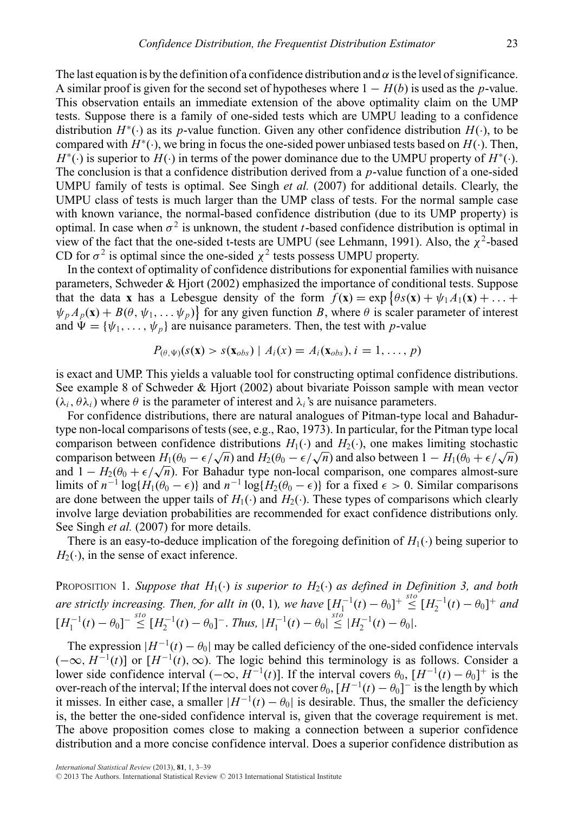The last equation is by the definition of a confidence distribution and  $\alpha$  is the level of significance. A similar proof is given for the second set of hypotheses where  $1 - H(b)$  is used as the *p*-value. This observation entails an immediate extension of the above optimality claim on the UMP tests. Suppose there is a family of one-sided tests which are UMPU leading to a confidence distribution  $H^*(\cdot)$  as its *p*-value function. Given any other confidence distribution  $H(\cdot)$ , to be compared with  $H^*(\cdot)$ , we bring in focus the one-sided power unbiased tests based on  $H(\cdot)$ . Then,  $H^*(·)$  is superior to  $H(·)$  in terms of the power dominance due to the UMPU property of  $H^*(·)$ . The conclusion is that a confidence distribution derived from a *p*-value function of a one-sided UMPU family of tests is optimal. See Singh *et al.* (2007) for additional details. Clearly, the UMPU class of tests is much larger than the UMP class of tests. For the normal sample case with known variance, the normal-based confidence distribution (due to its UMP property) is optimal. In case when  $\sigma^2$  is unknown, the student *t*-based confidence distribution is optimal in view of the fact that the one-sided t-tests are UMPU (see Lehmann, 1991). Also, the  $\chi^2$ -based CD for  $\sigma^2$  is optimal since the one-sided  $\chi^2$  tests possess UMPU property.

In the context of optimality of confidence distributions for exponential families with nuisance parameters, Schweder & Hjort (2002) emphasized the importance of conditional tests. Suppose that the data **x** has a Lebesgue density of the form  $f(\mathbf{x}) = \exp \{ \theta s(\mathbf{x}) + \psi_1 A_1(\mathbf{x}) + \dots + \theta \}$  $\psi_p A_p(\mathbf{x}) + B(\theta, \psi_1, \dots, \psi_p)$  for any given function *B*, where  $\theta$  is scaler parameter of interest and  $\Psi = {\psi_1, \ldots, \psi_p}$  are nuisance parameters. Then, the test with *p*-value

$$
P_{(\theta,\Psi)}(s(\mathbf{x}) > s(\mathbf{x}_{obs}) | A_i(x) = A_i(\mathbf{x}_{obs}), i = 1, \ldots, p)
$$

is exact and UMP. This yields a valuable tool for constructing optimal confidence distributions. See example 8 of Schweder & Hjort (2002) about bivariate Poisson sample with mean vector  $(\lambda_i, \theta \lambda_i)$  where  $\theta$  is the parameter of interest and  $\lambda_i$ 's are nuisance parameters.

For confidence distributions, there are natural analogues of Pitman-type local and Bahadurtype non-local comparisons of tests (see, e.g., Rao, 1973). In particular, for the Pitman type local comparison between confidence distributions  $H_1(\cdot)$  and  $H_2(\cdot)$ , one makes limiting stochastic comparison between  $H_1(\theta_0 - \epsilon/\sqrt{n})$  and  $H_2(\theta_0 - \epsilon/\sqrt{n})$  and also between  $1 - H_1(\theta_0 + \epsilon/\sqrt{n})$ and  $1 - H_2(\theta_0 + \epsilon/\sqrt{n})$ . For Bahadur type non-local comparison, one compares almost-sure limits of  $n^{-1} \log\{H_1(\theta_0 - \epsilon)\}\$  and  $n^{-1} \log\{H_2(\theta_0 - \epsilon)\}\$  for a fixed  $\epsilon > 0$ . Similar comparisons are done between the upper tails of  $H_1(\cdot)$  and  $H_2(\cdot)$ . These types of comparisons which clearly involve large deviation probabilities are recommended for exact confidence distributions only. See Singh *et al.* (2007) for more details.

There is an easy-to-deduce implication of the foregoing definition of  $H_1(\cdot)$  being superior to  $H_2(\cdot)$ , in the sense of exact inference.

PROPOSITION 1. Suppose that  $H_1(\cdot)$  is superior to  $H_2(\cdot)$  as defined in Definition 3, and both *are strictly increasing. Then, for allt in* (0, 1), we have  $[H_1^{-1}(t) - \theta_0]^{+} \leq [H_2^{-1}(t) - \theta_0]^{+}$  and  $[H_1^{-1}(t) - \theta_0]^{-s} \leq [H_2^{-1}(t) - \theta_0]^{-}$ . *Thus,*  $|H_1^{-1}(t) - \theta_0| \leq |H_2^{-1}(t) - \theta_0|$ .

The expression  $|H^{-1}(t) - \theta_0|$  may be called deficiency of the one-sided confidence intervals  $(-\infty, H^{-1}(t)]$  or  $[H^{-1}(t), \infty)$ . The logic behind this terminology is as follows. Consider a lower side confidence interval  $(-\infty, H^{-1}(t)]$ . If the interval covers  $\theta_0$ ,  $[H^{-1}(t) - \theta_0]^+$  is the over-reach of the interval; If the interval does not cover  $\theta_0$ ,  $[H^{-1}(t) - \theta_0]$ <sup>-</sup> is the length by which it misses. In either case, a smaller  $|H^{-1}(t) - \theta_0|$  is desirable. Thus, the smaller the deficiency is, the better the one-sided confidence interval is, given that the coverage requirement is met. The above proposition comes close to making a connection between a superior confidence distribution and a more concise confidence interval. Does a superior confidence distribution as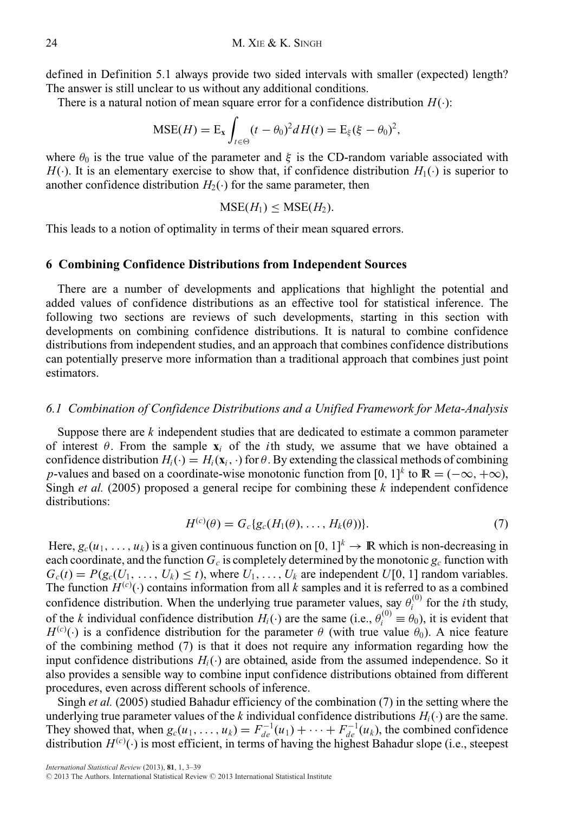defined in Definition 5.1 always provide two sided intervals with smaller (expected) length? The answer is still unclear to us without any additional conditions.

There is a natural notion of mean square error for a confidence distribution  $H(\cdot)$ :

$$
MSE(H) = E_x \int_{t \in \Theta} (t - \theta_0)^2 dH(t) = E_{\xi} (\xi - \theta_0)^2,
$$

where  $\theta_0$  is the true value of the parameter and  $\xi$  is the CD-random variable associated with  $H(\cdot)$ . It is an elementary exercise to show that, if confidence distribution  $H_1(\cdot)$  is superior to another confidence distribution  $H_2(\cdot)$  for the same parameter, then

$$
MSE(H_1) \leq MSE(H_2).
$$

This leads to a notion of optimality in terms of their mean squared errors.

# **6 Combining Confidence Distributions from Independent Sources**

There are a number of developments and applications that highlight the potential and added values of confidence distributions as an effective tool for statistical inference. The following two sections are reviews of such developments, starting in this section with developments on combining confidence distributions. It is natural to combine confidence distributions from independent studies, and an approach that combines confidence distributions can potentially preserve more information than a traditional approach that combines just point estimators.

# *6.1 Combination of Confidence Distributions and a Unified Framework for Meta-Analysis*

Suppose there are *k* independent studies that are dedicated to estimate a common parameter of interest  $\theta$ . From the sample  $\mathbf{x}_i$  of the *i*th study, we assume that we have obtained a confidence distribution  $H_i(\cdot) = H_i(\mathbf{x}_i, \cdot)$  for  $\theta$ . By extending the classical methods of combining *p*-values and based on a coordinate-wise monotonic function from [0, 1]<sup>k</sup> to  $\mathbb{R} = (-\infty, +\infty)$ , Singh *et al.* (2005) proposed a general recipe for combining these *k* independent confidence distributions:

$$
H^{(c)}(\theta) = G_c\{g_c(H_1(\theta),\ldots,H_k(\theta))\}.
$$
\n
$$
(7)
$$

Here,  $g_c(u_1,\ldots, u_k)$  is a given continuous function on [0, 1]<sup>k</sup>  $\rightarrow \mathbb{R}$  which is non-decreasing in each coordinate, and the function  $G_c$  is completely determined by the monotonic  $g_c$  function with  $G_c(t) = P(g_c(U_1, \ldots, U_k) \le t)$ , where  $U_1, \ldots, U_k$  are independent  $U[0, 1]$  random variables. The function  $H^{(c)}(\cdot)$  contains information from all *k* samples and it is referred to as a combined confidence distribution. When the underlying true parameter values, say  $\theta_i^{(0)}$  for the *i*th study, of the *k* individual confidence distribution  $H_i(\cdot)$  are the same (i.e.,  $\theta_i^{(0)} \equiv \theta_0$ ), it is evident that  $H^{(c)}(\cdot)$  is a confidence distribution for the parameter  $\theta$  (with true value  $\theta_0$ ). A nice feature of the combining method (7) is that it does not require any information regarding how the input confidence distributions  $H_i(\cdot)$  are obtained, aside from the assumed independence. So it also provides a sensible way to combine input confidence distributions obtained from different procedures, even across different schools of inference.

Singh *et al.* (2005) studied Bahadur efficiency of the combination (7) in the setting where the underlying true parameter values of the  $k$  individual confidence distributions  $H_i(\cdot)$  are the same. They showed that, when  $g_c(u_1, \ldots, u_k) = F_{de}^{-1}(u_1) + \cdots + F_{de}^{-1}(u_k)$ , the combined confidence distribution  $H^{(c)}(\cdot)$  is most efficient, in terms of having the highest Bahadur slope (i.e., steepest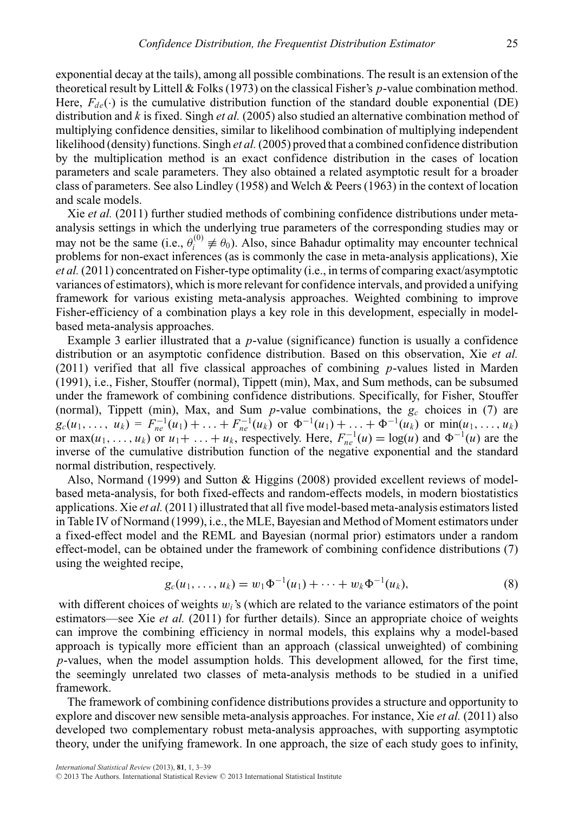exponential decay at the tails), among all possible combinations. The result is an extension of the theoretical result by Littell & Folks (1973) on the classical Fisher's *p*-value combination method. Here,  $F_{de}(\cdot)$  is the cumulative distribution function of the standard double exponential (DE) distribution and *k* is fixed. Singh *et al.* (2005) also studied an alternative combination method of multiplying confidence densities, similar to likelihood combination of multiplying independent likelihood (density) functions. Singh *et al.*(2005) proved that a combined confidence distribution by the multiplication method is an exact confidence distribution in the cases of location parameters and scale parameters. They also obtained a related asymptotic result for a broader class of parameters. See also Lindley (1958) and Welch & Peers (1963) in the context of location and scale models.

Xie *et al.* (2011) further studied methods of combining confidence distributions under metaanalysis settings in which the underlying true parameters of the corresponding studies may or may not be the same (i.e.,  $\theta_i^{(0)} \neq \theta_0$ ). Also, since Bahadur optimality may encounter technical problems for non-exact inferences (as is commonly the case in meta-analysis applications), Xie *et al.* (2011) concentrated on Fisher-type optimality (i.e., in terms of comparing exact/asymptotic variances of estimators), which is more relevant for confidence intervals, and provided a unifying framework for various existing meta-analysis approaches. Weighted combining to improve Fisher-efficiency of a combination plays a key role in this development, especially in modelbased meta-analysis approaches.

Example 3 earlier illustrated that a *p*-value (significance) function is usually a confidence distribution or an asymptotic confidence distribution. Based on this observation, Xie *et al.* (2011) verified that all five classical approaches of combining *p*-values listed in Marden (1991), i.e., Fisher, Stouffer (normal), Tippett (min), Max, and Sum methods, can be subsumed under the framework of combining confidence distributions. Specifically, for Fisher, Stouffer (normal), Tippett (min), Max, and Sum *p*-value combinations, the *gc* choices in (7) are  $g_c(u_1, \ldots, u_k) = F_{ne}^{-1}(u_1) + \ldots + F_{ne}^{-1}(u_k)$  or  $\Phi^{-1}(u_1) + \ldots + \Phi^{-1}(u_k)$  or  $\min(u_1, \ldots, u_k)$ or max $(u_1, \ldots, u_k)$  or  $u_1 + \ldots + u_k$ , respectively. Here,  $F_{ne}^{-1}(u) = \log(u)$  and  $\Phi^{-1}(u)$  are the inverse of the cumulative distribution function of the negative exponential and the standard normal distribution, respectively.

Also, Normand (1999) and Sutton & Higgins (2008) provided excellent reviews of modelbased meta-analysis, for both fixed-effects and random-effects models, in modern biostatistics applications. Xie *et al.* (2011) illustrated that all five model-based meta-analysis estimators listed in Table IV of Normand (1999), i.e., the MLE, Bayesian and Method of Moment estimators under a fixed-effect model and the REML and Bayesian (normal prior) estimators under a random effect-model, can be obtained under the framework of combining confidence distributions (7) using the weighted recipe,

$$
g_c(u_1,\ldots,u_k)=w_1\Phi^{-1}(u_1)+\cdots+w_k\Phi^{-1}(u_k),
$$
\n(8)

with different choices of weights  $w_i$ 's (which are related to the variance estimators of the point estimators—see Xie *et al.* (2011) for further details). Since an appropriate choice of weights can improve the combining efficiency in normal models, this explains why a model-based approach is typically more efficient than an approach (classical unweighted) of combining *p*-values, when the model assumption holds. This development allowed, for the first time, the seemingly unrelated two classes of meta-analysis methods to be studied in a unified framework.

The framework of combining confidence distributions provides a structure and opportunity to explore and discover new sensible meta-analysis approaches. For instance, Xie *et al.* (2011) also developed two complementary robust meta-analysis approaches, with supporting asymptotic theory, under the unifying framework. In one approach, the size of each study goes to infinity,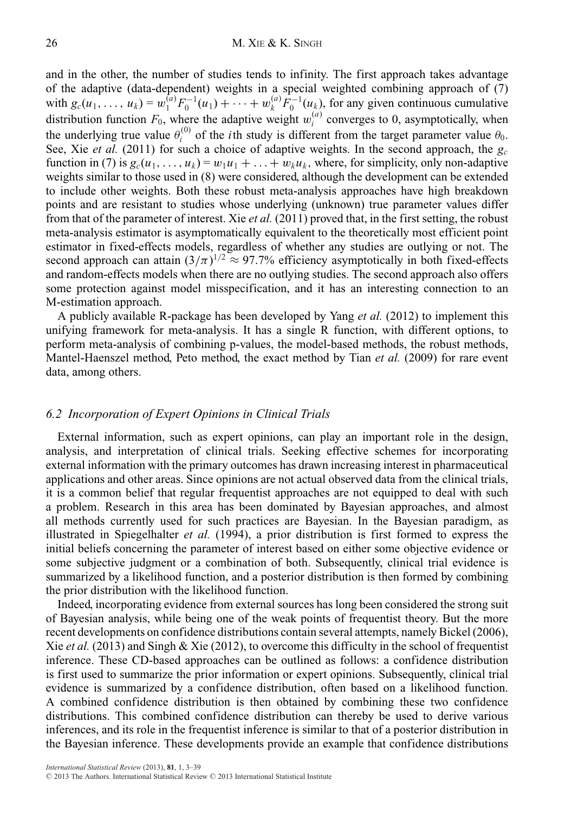and in the other, the number of studies tends to infinity. The first approach takes advantage of the adaptive (data-dependent) weights in a special weighted combining approach of (7) with  $g_c(u_1, \ldots, u_k) = w_1^{(a)} F_0^{-1}(u_1) + \cdots + w_k^{(a)} F_0^{-1}(u_k)$ , for any given continuous cumulative distribution function  $F_0$ , where the adaptive weight  $w_i^{(a)}$  converges to 0, asymptotically, when the underlying true value  $\theta_i^{(0)}$  of the *i*th study is different from the target parameter value  $\theta_0$ . See, Xie *et al.* (2011) for such a choice of adaptive weights. In the second approach, the  $g_c$ function in (7) is  $g_c(u_1,\ldots,u_k) = w_1u_1 + \ldots + w_ku_k$ , where, for simplicity, only non-adaptive weights similar to those used in (8) were considered, although the development can be extended to include other weights. Both these robust meta-analysis approaches have high breakdown points and are resistant to studies whose underlying (unknown) true parameter values differ from that of the parameter of interest. Xie *et al.* (2011) proved that, in the first setting, the robust meta-analysis estimator is asymptomatically equivalent to the theoretically most efficient point estimator in fixed-effects models, regardless of whether any studies are outlying or not. The second approach can attain  $(3/\pi)^{1/2} \approx 97.7\%$  efficiency asymptotically in both fixed-effects and random-effects models when there are no outlying studies. The second approach also offers some protection against model misspecification, and it has an interesting connection to an M-estimation approach.

A publicly available R-package has been developed by Yang *et al.* (2012) to implement this unifying framework for meta-analysis. It has a single R function, with different options, to perform meta-analysis of combining p-values, the model-based methods, the robust methods, Mantel-Haenszel method, Peto method, the exact method by Tian *et al.* (2009) for rare event data, among others.

#### *6.2 Incorporation of Expert Opinions in Clinical Trials*

External information, such as expert opinions, can play an important role in the design, analysis, and interpretation of clinical trials. Seeking effective schemes for incorporating external information with the primary outcomes has drawn increasing interest in pharmaceutical applications and other areas. Since opinions are not actual observed data from the clinical trials, it is a common belief that regular frequentist approaches are not equipped to deal with such a problem. Research in this area has been dominated by Bayesian approaches, and almost all methods currently used for such practices are Bayesian. In the Bayesian paradigm, as illustrated in Spiegelhalter *et al.* (1994), a prior distribution is first formed to express the initial beliefs concerning the parameter of interest based on either some objective evidence or some subjective judgment or a combination of both. Subsequently, clinical trial evidence is summarized by a likelihood function, and a posterior distribution is then formed by combining the prior distribution with the likelihood function.

Indeed, incorporating evidence from external sources has long been considered the strong suit of Bayesian analysis, while being one of the weak points of frequentist theory. But the more recent developments on confidence distributions contain several attempts, namely Bickel (2006), Xie *et al.* (2013) and Singh & Xie (2012), to overcome this difficulty in the school of frequentist inference. These CD-based approaches can be outlined as follows: a confidence distribution is first used to summarize the prior information or expert opinions. Subsequently, clinical trial evidence is summarized by a confidence distribution, often based on a likelihood function. A combined confidence distribution is then obtained by combining these two confidence distributions. This combined confidence distribution can thereby be used to derive various inferences, and its role in the frequentist inference is similar to that of a posterior distribution in the Bayesian inference. These developments provide an example that confidence distributions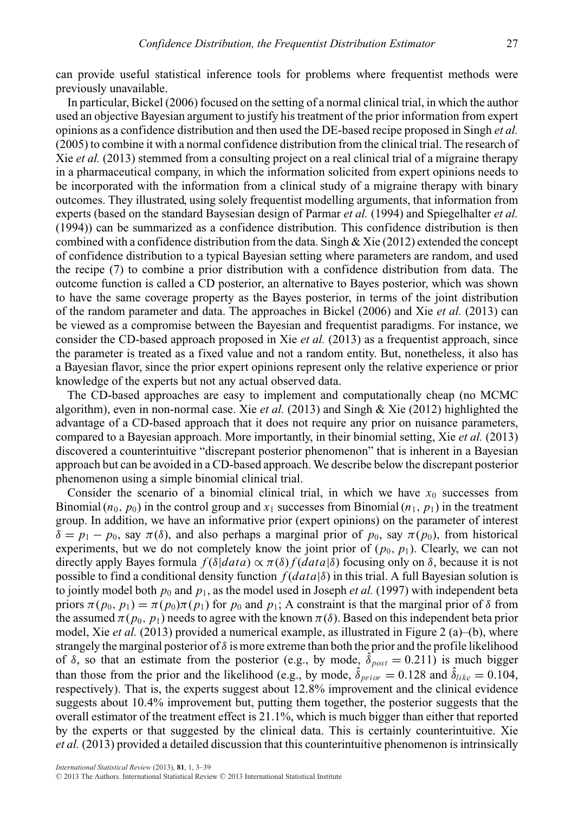can provide useful statistical inference tools for problems where frequentist methods were previously unavailable.

In particular, Bickel (2006) focused on the setting of a normal clinical trial, in which the author used an objective Bayesian argument to justify his treatment of the prior information from expert opinions as a confidence distribution and then used the DE-based recipe proposed in Singh *et al.* (2005) to combine it with a normal confidence distribution from the clinical trial. The research of Xie *et al.* (2013) stemmed from a consulting project on a real clinical trial of a migraine therapy in a pharmaceutical company, in which the information solicited from expert opinions needs to be incorporated with the information from a clinical study of a migraine therapy with binary outcomes. They illustrated, using solely frequentist modelling arguments, that information from experts (based on the standard Baysesian design of Parmar *et al.* (1994) and Spiegelhalter *et al.* (1994)) can be summarized as a confidence distribution. This confidence distribution is then combined with a confidence distribution from the data. Singh & Xie (2012) extended the concept of confidence distribution to a typical Bayesian setting where parameters are random, and used the recipe (7) to combine a prior distribution with a confidence distribution from data. The outcome function is called a CD posterior, an alternative to Bayes posterior, which was shown to have the same coverage property as the Bayes posterior, in terms of the joint distribution of the random parameter and data. The approaches in Bickel (2006) and Xie *et al.* (2013) can be viewed as a compromise between the Bayesian and frequentist paradigms. For instance, we consider the CD-based approach proposed in Xie *et al.* (2013) as a frequentist approach, since the parameter is treated as a fixed value and not a random entity. But, nonetheless, it also has a Bayesian flavor, since the prior expert opinions represent only the relative experience or prior knowledge of the experts but not any actual observed data.

The CD-based approaches are easy to implement and computationally cheap (no MCMC algorithm), even in non-normal case. Xie *et al.* (2013) and Singh & Xie (2012) highlighted the advantage of a CD-based approach that it does not require any prior on nuisance parameters, compared to a Bayesian approach. More importantly, in their binomial setting, Xie *et al.* (2013) discovered a counterintuitive "discrepant posterior phenomenon" that is inherent in a Bayesian approach but can be avoided in a CD-based approach. We describe below the discrepant posterior phenomenon using a simple binomial clinical trial.

Consider the scenario of a binomial clinical trial, in which we have  $x_0$  successes from Binomial ( $n_0$ ,  $p_0$ ) in the control group and  $x_1$  successes from Binomial ( $n_1$ ,  $p_1$ ) in the treatment group. In addition, we have an informative prior (expert opinions) on the parameter of interest  $\delta = p_1 - p_0$ , say  $\pi(\delta)$ , and also perhaps a marginal prior of  $p_0$ , say  $\pi(p_0)$ , from historical experiments, but we do not completely know the joint prior of  $(p_0, p_1)$ . Clearly, we can not directly apply Bayes formula  $f(\delta|data) \propto \pi(\delta) f(data|\delta)$  focusing only on  $\delta$ , because it is not possible to find a conditional density function *f* (*data*|δ) in this trial. A full Bayesian solution is to jointly model both  $p_0$  and  $p_1$ , as the model used in Joseph *et al.* (1997) with independent beta priors  $\pi(p_0, p_1) = \pi(p_0)\pi(p_1)$  for  $p_0$  and  $p_1$ ; A constraint is that the marginal prior of  $\delta$  from the assumed  $\pi(p_0, p_1)$  needs to agree with the known  $\pi(\delta)$ . Based on this independent beta prior model, Xie *et al.* (2013) provided a numerical example, as illustrated in Figure 2 (a)–(b), where strangely the marginal posterior of  $\delta$  is more extreme than both the prior and the profile likelihood of  $\delta$ , so that an estimate from the posterior (e.g., by mode,  $\hat{\delta}_{post} = 0.211$ ) is much bigger than those from the prior and the likelihood (e.g., by mode,  $\hat{\delta}_{prior} = 0.128$  and  $\hat{\delta}_{like} = 0.104$ , respectively). That is, the experts suggest about 12.8% improvement and the clinical evidence suggests about 10.4% improvement but, putting them together, the posterior suggests that the overall estimator of the treatment effect is 21.1%, which is much bigger than either that reported by the experts or that suggested by the clinical data. This is certainly counterintuitive. Xie *et al.* (2013) provided a detailed discussion that this counterintuitive phenomenon is intrinsically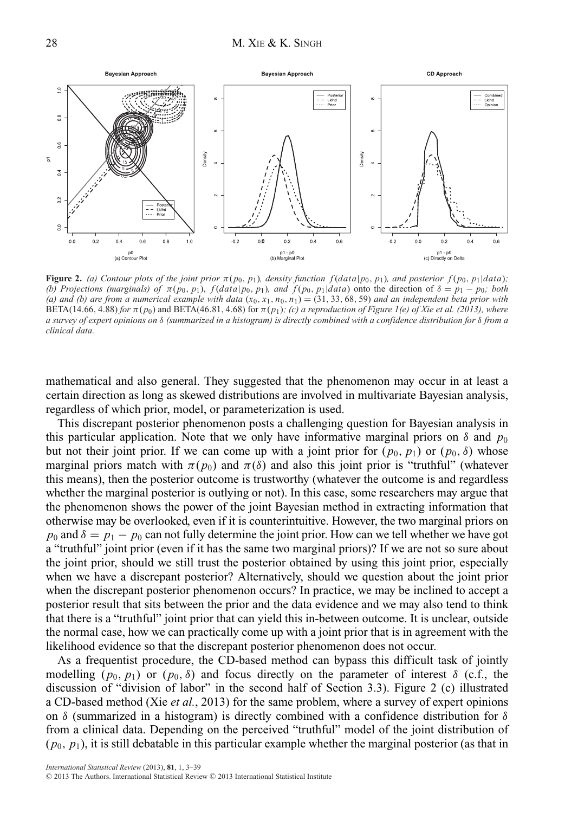

**Figure 2.** (a) Contour plots of the joint prior  $\pi(p_0, p_1)$ , density function  $f(data|p_0, p_1)$ , and posterior  $f(p_0, p_1|data)$ ; *(b) Projections (marginals) of*  $\pi(p_0, p_1)$ ,  $f(data|p_0, p_1)$ , and  $f(p_0, p_1|data)$  onto the direction of  $\delta = p_1 - p_0$ ; both (a) and (b) are from a numerical example with data  $(x_0, x_1, n_0, n_1) = (31, 33, 68, 59)$  and an independent beta prior with BETA(14.66, 4.88) *for* π(*p*0) and BETA(46.81, 4.68) for π(*p*1)*; (c) a reproduction of Figure 1(e) of Xie et al. (2013), where a survey of expert opinions on* δ *(summarized in a histogram) is directly combined with a confidence distribution for* δ *from a clinical data.*

mathematical and also general. They suggested that the phenomenon may occur in at least a certain direction as long as skewed distributions are involved in multivariate Bayesian analysis, regardless of which prior, model, or parameterization is used.

This discrepant posterior phenomenon posts a challenging question for Bayesian analysis in this particular application. Note that we only have informative marginal priors on  $\delta$  and  $p_0$ but not their joint prior. If we can come up with a joint prior for  $(p_0, p_1)$  or  $(p_0, \delta)$  whose marginal priors match with  $\pi(p_0)$  and  $\pi(\delta)$  and also this joint prior is "truthful" (whatever this means), then the posterior outcome is trustworthy (whatever the outcome is and regardless whether the marginal posterior is outlying or not). In this case, some researchers may argue that the phenomenon shows the power of the joint Bayesian method in extracting information that otherwise may be overlooked, even if it is counterintuitive. However, the two marginal priors on  $p_0$  and  $\delta = p_1 - p_0$  can not fully determine the joint prior. How can we tell whether we have got a "truthful" joint prior (even if it has the same two marginal priors)? If we are not so sure about the joint prior, should we still trust the posterior obtained by using this joint prior, especially when we have a discrepant posterior? Alternatively, should we question about the joint prior when the discrepant posterior phenomenon occurs? In practice, we may be inclined to accept a posterior result that sits between the prior and the data evidence and we may also tend to think that there is a "truthful" joint prior that can yield this in-between outcome. It is unclear, outside the normal case, how we can practically come up with a joint prior that is in agreement with the likelihood evidence so that the discrepant posterior phenomenon does not occur.

As a frequentist procedure, the CD-based method can bypass this difficult task of jointly modelling  $(p_0, p_1)$  or  $(p_0, \delta)$  and focus directly on the parameter of interest  $\delta$  (c.f., the discussion of "division of labor" in the second half of Section 3.3). Figure 2 (c) illustrated a CD-based method (Xie *et al.*, 2013) for the same problem, where a survey of expert opinions on  $\delta$  (summarized in a histogram) is directly combined with a confidence distribution for  $\delta$ from a clinical data. Depending on the perceived "truthful" model of the joint distribution of  $(p_0, p_1)$ , it is still debatable in this particular example whether the marginal posterior (as that in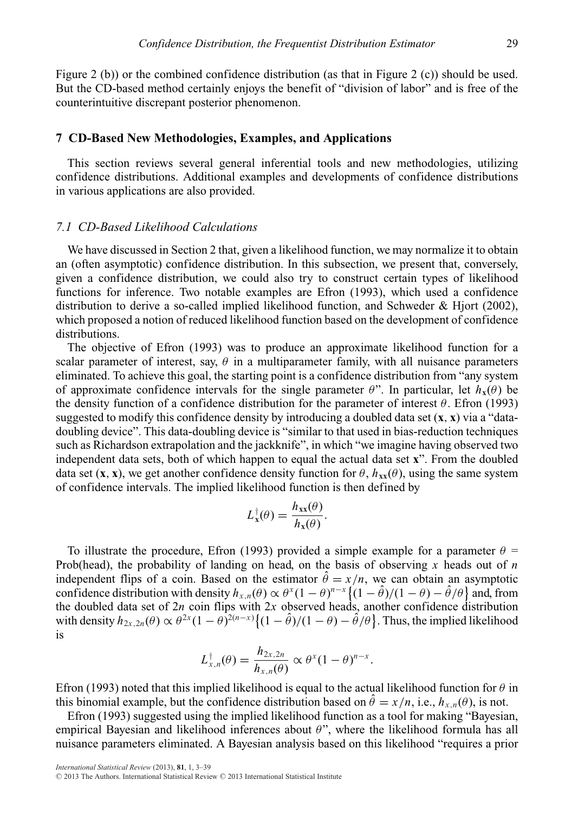Figure 2 (b)) or the combined confidence distribution (as that in Figure 2 (c)) should be used. But the CD-based method certainly enjoys the benefit of "division of labor" and is free of the counterintuitive discrepant posterior phenomenon.

#### **7 CD-Based New Methodologies, Examples, and Applications**

This section reviews several general inferential tools and new methodologies, utilizing confidence distributions. Additional examples and developments of confidence distributions in various applications are also provided.

# *7.1 CD-Based Likelihood Calculations*

We have discussed in Section 2 that, given a likelihood function, we may normalize it to obtain an (often asymptotic) confidence distribution. In this subsection, we present that, conversely, given a confidence distribution, we could also try to construct certain types of likelihood functions for inference. Two notable examples are Efron (1993), which used a confidence distribution to derive a so-called implied likelihood function, and Schweder & Hjort (2002), which proposed a notion of reduced likelihood function based on the development of confidence distributions.

The objective of Efron (1993) was to produce an approximate likelihood function for a scalar parameter of interest, say,  $\theta$  in a multiparameter family, with all nuisance parameters eliminated. To achieve this goal, the starting point is a confidence distribution from "any system of approximate confidence intervals for the single parameter  $\theta$ ". In particular, let  $h_x(\theta)$  be the density function of a confidence distribution for the parameter of interest  $\theta$ . Efron (1993) suggested to modify this confidence density by introducing a doubled data set (**x**, **x**) via a "datadoubling device". This data-doubling device is "similar to that used in bias-reduction techniques such as Richardson extrapolation and the jackknife", in which "we imagine having observed two independent data sets, both of which happen to equal the actual data set **x**". From the doubled data set (**x**, **x**), we get another confidence density function for  $\theta$ ,  $h_{xx}(\theta)$ , using the same system of confidence intervals. The implied likelihood function is then defined by

$$
L_{\mathbf{x}}^{\dagger}(\theta) = \frac{h_{\mathbf{x}\mathbf{x}}(\theta)}{h_{\mathbf{x}}(\theta)}.
$$

To illustrate the procedure, Efron (1993) provided a simple example for a parameter  $\theta$  = Prob(head), the probability of landing on head, on the basis of observing *x* heads out of *n* independent flips of a coin. Based on the estimator  $\hat{\theta} = x/n$ , we can obtain an asymptotic confidence distribution with density  $h_{x,n}(\theta) \propto \theta^x (1-\theta)^{n-x} \left\{ (1-\hat{\theta})/(1-\theta) - \hat{\theta}/\theta \right\}$  and, from the doubled data set of 2*n* coin flips with 2*x* observed heads, another confidence distribution with density  $h_{2x,2n}(\theta) \propto \theta^{2x} (1-\theta)^{2(n-x)} \{(1-\hat{\theta})/(1-\theta) - \hat{\theta}/\theta\}$ . Thus, the implied likelihood is

$$
L_{x,n}^{\dagger}(\theta) = \frac{h_{2x,2n}}{h_{x,n}(\theta)} \propto \theta^x (1-\theta)^{n-x}.
$$

Efron (1993) noted that this implied likelihood is equal to the actual likelihood function for  $\theta$  in this binomial example, but the confidence distribution based on  $\hat{\theta} = x/n$ , i.e.,  $h_{x,n}(\theta)$ , is not.

Efron (1993) suggested using the implied likelihood function as a tool for making "Bayesian, empirical Bayesian and likelihood inferences about  $\theta$ ", where the likelihood formula has all nuisance parameters eliminated. A Bayesian analysis based on this likelihood "requires a prior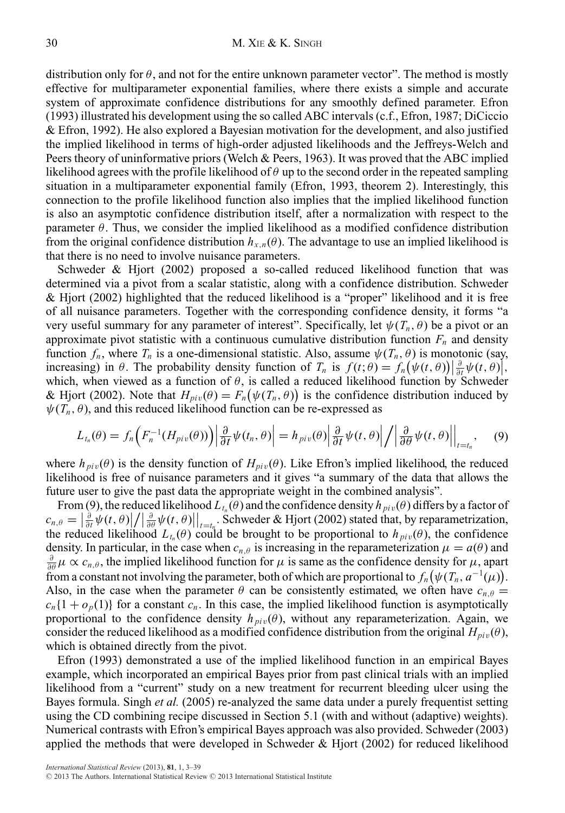distribution only for  $\theta$ , and not for the entire unknown parameter vector". The method is mostly effective for multiparameter exponential families, where there exists a simple and accurate system of approximate confidence distributions for any smoothly defined parameter. Efron (1993) illustrated his development using the so called ABC intervals (c.f., Efron, 1987; DiCiccio & Efron, 1992). He also explored a Bayesian motivation for the development, and also justified the implied likelihood in terms of high-order adjusted likelihoods and the Jeffreys-Welch and Peers theory of uninformative priors (Welch & Peers, 1963). It was proved that the ABC implied likelihood agrees with the profile likelihood of  $\theta$  up to the second order in the repeated sampling situation in a multiparameter exponential family (Efron, 1993, theorem 2). Interestingly, this connection to the profile likelihood function also implies that the implied likelihood function is also an asymptotic confidence distribution itself, after a normalization with respect to the parameter  $\theta$ . Thus, we consider the implied likelihood as a modified confidence distribution from the original confidence distribution  $h_{x,n}(\theta)$ . The advantage to use an implied likelihood is that there is no need to involve nuisance parameters.

Schweder & Hjort (2002) proposed a so-called reduced likelihood function that was determined via a pivot from a scalar statistic, along with a confidence distribution. Schweder & Hjort (2002) highlighted that the reduced likelihood is a "proper" likelihood and it is free of all nuisance parameters. Together with the corresponding confidence density, it forms "a very useful summary for any parameter of interest". Specifically, let  $\psi(T_n, \theta)$  be a pivot or an approximate pivot statistic with a continuous cumulative distribution function  $F_n$  and density function  $f_n$ , where  $T_n$  is a one-dimensional statistic. Also, assume  $\psi(T_n, \theta)$  is monotonic (say, increasing) in  $\theta$ . The probability density function of  $T_n$  is  $f(t; \theta) = f_n(\psi(t, \theta)) \Big|_{\partial t}^{\partial t} \psi(t, \theta) \Big|$ , which, when viewed as a function of  $\theta$ , is called a reduced likelihood function by Schweder & Hjort (2002). Note that  $H_{pi\nu}(\theta) = F_n(\psi(T_n, \theta))$  is the confidence distribution induced by  $\psi(T_n, \theta)$ , and this reduced likelihood function can be re-expressed as

$$
L_{t_n}(\theta) = f_n\Big(F_n^{-1}(H_{pi\nu}(\theta))\Big)\Big|\frac{\partial}{\partial t}\psi(t_n,\theta)\Big| = h_{pi\nu}(\theta)\Big|\frac{\partial}{\partial t}\psi(t,\theta)\Big|\Big/\Big|\frac{\partial}{\partial \theta}\psi(t,\theta)\Big|\Big|_{t=t_n},\quad (9)
$$

where  $h_{pi\nu}(\theta)$  is the density function of  $H_{pi\nu}(\theta)$ . Like Efron's implied likelihood, the reduced likelihood is free of nuisance parameters and it gives "a summary of the data that allows the future user to give the past data the appropriate weight in the combined analysis".

From (9), the reduced likelihood  $L_{t_n}(\theta)$  and the confidence density  $h_{pi\nu}(\theta)$  differs by a factor of  $c_{n,\theta} = \left| \frac{\partial}{\partial t} \psi(t,\theta) \right| / \left| \frac{\partial}{\partial \theta} \psi(t,\theta) \right| \right|_{t=t_n}$ . Schweder & Hjort (2002) stated that, by reparametrization, the reduced likelihood  $L_{t_n}(\theta)$  could be brought to be proportional to  $h_{pi\nu}(\theta)$ , the confidence density. In particular, in the case when  $c_{n,\theta}$  is increasing in the reparameterization  $\mu = a(\theta)$  and  $\frac{\partial}{\partial \theta} \mu \propto c_{n,\theta}$ , the implied likelihood function for  $\mu$  is same as the confidence density for  $\mu$ , apart from a constant not involving the parameter, both of which are proportional to  $f_n(\psi(T_n, a^{-1}(\mu)))$ . Also, in the case when the parameter  $\theta$  can be consistently estimated, we often have  $c_{n,\theta} =$  $c_n\{1 + o_p(1)\}\$  for a constant  $c_n$ . In this case, the implied likelihood function is asymptotically proportional to the confidence density  $h_{\text{piv}}(\theta)$ , without any reparameterization. Again, we consider the reduced likelihood as a modified confidence distribution from the original  $H_{div}(\theta)$ , which is obtained directly from the pivot.

Efron (1993) demonstrated a use of the implied likelihood function in an empirical Bayes example, which incorporated an empirical Bayes prior from past clinical trials with an implied likelihood from a "current" study on a new treatment for recurrent bleeding ulcer using the Bayes formula. Singh *et al.* (2005) re-analyzed the same data under a purely frequentist setting using the CD combining recipe discussed in Section 5.1 (with and without (adaptive) weights). Numerical contrasts with Efron's empirical Bayes approach was also provided. Schweder (2003) applied the methods that were developed in Schweder & Hjort (2002) for reduced likelihood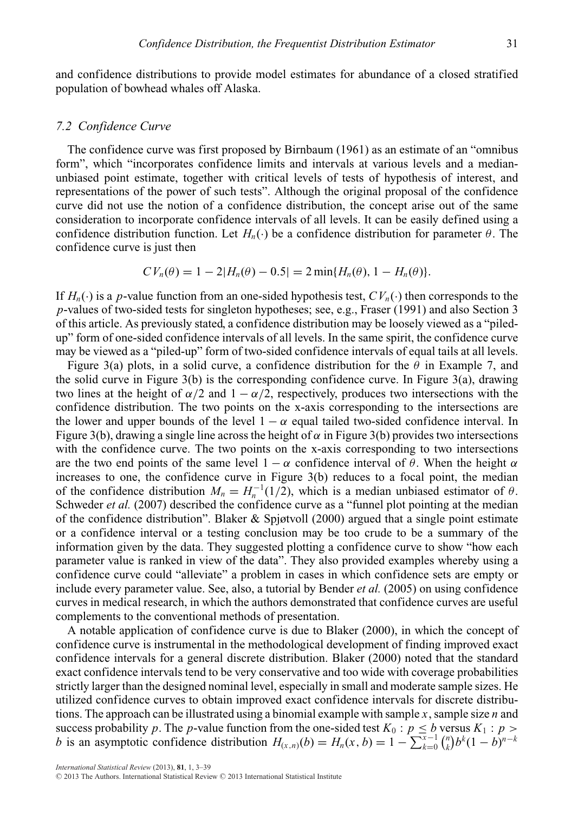and confidence distributions to provide model estimates for abundance of a closed stratified population of bowhead whales off Alaska.

#### *7.2 Confidence Curve*

The confidence curve was first proposed by Birnbaum (1961) as an estimate of an "omnibus form", which "incorporates confidence limits and intervals at various levels and a medianunbiased point estimate, together with critical levels of tests of hypothesis of interest, and representations of the power of such tests". Although the original proposal of the confidence curve did not use the notion of a confidence distribution, the concept arise out of the same consideration to incorporate confidence intervals of all levels. It can be easily defined using a confidence distribution function. Let  $H_n(\cdot)$  be a confidence distribution for parameter  $\theta$ . The confidence curve is just then

$$
CV_n(\theta) = 1 - 2|H_n(\theta) - 0.5| = 2\min\{H_n(\theta), 1 - H_n(\theta)\}.
$$

If  $H_n(\cdot)$  is a *p*-value function from an one-sided hypothesis test,  $CV_n(\cdot)$  then corresponds to the *p*-values of two-sided tests for singleton hypotheses; see, e.g., Fraser (1991) and also Section 3 of this article. As previously stated, a confidence distribution may be loosely viewed as a "piledup" form of one-sided confidence intervals of all levels. In the same spirit, the confidence curve may be viewed as a "piled-up" form of two-sided confidence intervals of equal tails at all levels.

Figure 3(a) plots, in a solid curve, a confidence distribution for the  $\theta$  in Example 7, and the solid curve in Figure 3(b) is the corresponding confidence curve. In Figure 3(a), drawing two lines at the height of  $\alpha/2$  and  $1 - \alpha/2$ , respectively, produces two intersections with the confidence distribution. The two points on the x-axis corresponding to the intersections are the lower and upper bounds of the level  $1 - \alpha$  equal tailed two-sided confidence interval. In Figure 3(b), drawing a single line across the height of  $\alpha$  in Figure 3(b) provides two intersections with the confidence curve. The two points on the x-axis corresponding to two intersections are the two end points of the same level  $1 - \alpha$  confidence interval of  $\theta$ . When the height  $\alpha$ increases to one, the confidence curve in Figure 3(b) reduces to a focal point, the median of the confidence distribution  $M_n = H_n^{-1}(1/2)$ , which is a median unbiased estimator of  $\theta$ . Schweder *et al.* (2007) described the confidence curve as a "funnel plot pointing at the median of the confidence distribution". Blaker  $\&$  Spjøtvoll (2000) argued that a single point estimate or a confidence interval or a testing conclusion may be too crude to be a summary of the information given by the data. They suggested plotting a confidence curve to show "how each parameter value is ranked in view of the data". They also provided examples whereby using a confidence curve could "alleviate" a problem in cases in which confidence sets are empty or include every parameter value. See, also, a tutorial by Bender *et al.* (2005) on using confidence curves in medical research, in which the authors demonstrated that confidence curves are useful complements to the conventional methods of presentation.

A notable application of confidence curve is due to Blaker (2000), in which the concept of confidence curve is instrumental in the methodological development of finding improved exact confidence intervals for a general discrete distribution. Blaker (2000) noted that the standard exact confidence intervals tend to be very conservative and too wide with coverage probabilities strictly larger than the designed nominal level, especially in small and moderate sample sizes. He utilized confidence curves to obtain improved exact confidence intervals for discrete distributions. The approach can be illustrated using a binomial example with sample *x*, sample size *n* and success probability *p*. The *p*-value function from the one-sided test  $K_0: p \le b$  versus  $K_1: p >$ *b* is an asymptotic confidence distribution  $H_{(x,n)}(b) = H_n(x, b) = 1 - \sum_{k=0}^{x-1} {n \choose k}$  $\binom{n}{k} b^k (1-b)^{n-k}$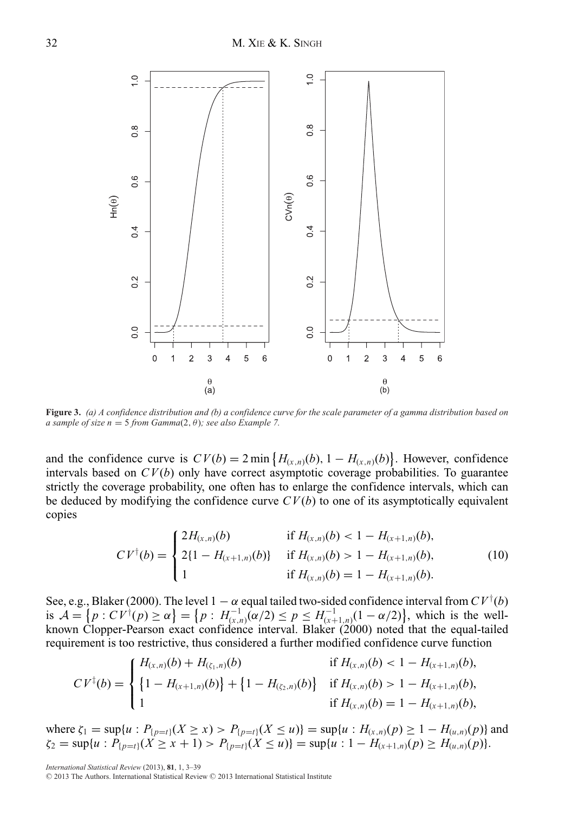

**Figure 3.** *(a) A confidence distribution and (b) a confidence curve for the scale parameter of a gamma distribution based on a sample of size*  $n = 5$  *from Gamma*(2,  $\theta$ )*; see also Example 7.* 

and the confidence curve is  $CV(b) = 2 \min \{ H_{(x,n)}(b), 1 - H_{(x,n)}(b) \}$ . However, confidence intervals based on  $CV(b)$  only have correct asymptotic coverage probabilities. To guarantee strictly the coverage probability, one often has to enlarge the confidence intervals, which can be deduced by modifying the confidence curve  $CV(b)$  to one of its asymptotically equivalent copies

$$
CV^{\dagger}(b) = \begin{cases} 2H_{(x,n)}(b) & \text{if } H_{(x,n)}(b) < 1 - H_{(x+1,n)}(b), \\ 2\{1 - H_{(x+1,n)}(b)\} & \text{if } H_{(x,n)}(b) > 1 - H_{(x+1,n)}(b), \\ 1 & \text{if } H_{(x,n)}(b) = 1 - H_{(x+1,n)}(b). \end{cases}
$$
(10)

See, e.g., Blaker (2000). The level  $1 - \alpha$  equal tailed two-sided confidence interval from  $CV^{\dagger}(b)$ is  $A = \{p : CV^{\dagger}(p) \ge \alpha\} = \{p : H^{-1}_{(x,n)}(\alpha/2) \le p \le H^{-1}_{(x+1,n)}(1 - \alpha/2)\}\)$ , which is the wellknown Clopper-Pearson exact confidence interval. Blaker (2000) noted that the equal-tailed requirement is too restrictive, thus considered a further modified confidence curve function

$$
CV^{\ddagger}(b) = \begin{cases} H_{(x,n)}(b) + H_{(\zeta_1,n)}(b) & \text{if } H_{(x,n)}(b) < 1 - H_{(x+1,n)}(b), \\ \left\{1 - H_{(x+1,n)}(b)\right\} + \left\{1 - H_{(\zeta_2,n)}(b)\right\} & \text{if } H_{(x,n)}(b) > 1 - H_{(x+1,n)}(b), \\ 1 & \text{if } H_{(x,n)}(b) = 1 - H_{(x+1,n)}(b), \end{cases}
$$

where  $\zeta_1 = \sup\{u : P_{\{p=t\}}(X \ge x) > P_{\{p=t\}}(X \le u)\} = \sup\{u : H_{(x,n)}(p) \ge 1 - H_{(u,n)}(p)\}\$ and  $\zeta_2 = \sup\{u : P_{\{p=t\}}(X \ge x + 1) > P_{\{p=t\}}(X \le u)\} = \sup\{u : 1 - H_{(x+1,n)}(p) \ge H_{(u,n)}(p)\}.$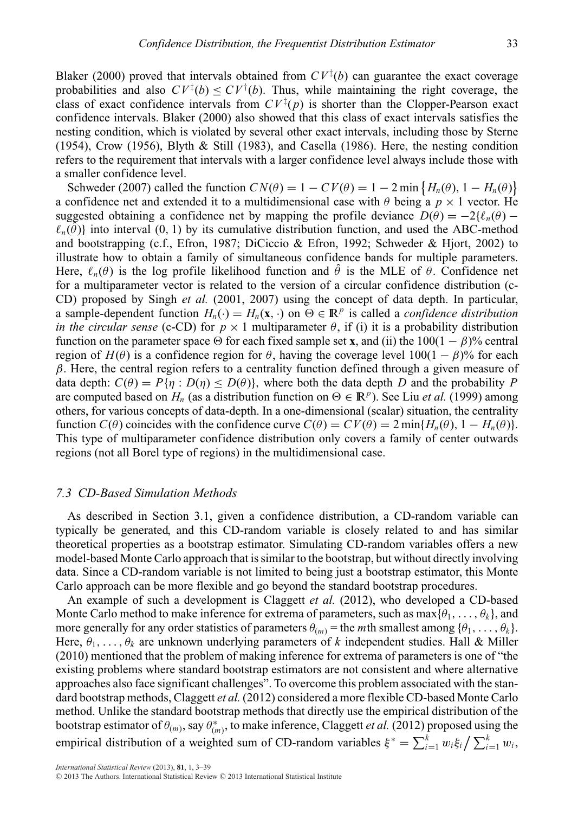Blaker (2000) proved that intervals obtained from  $CV<sup>T</sup>(b)$  can guarantee the exact coverage probabilities and also  $CV^{\dagger}(b) \leq CV^{\dagger}(b)$ . Thus, while maintaining the right coverage, the class of exact confidence intervals from  $CV^{\dagger}(p)$  is shorter than the Clopper-Pearson exact confidence intervals. Blaker (2000) also showed that this class of exact intervals satisfies the nesting condition, which is violated by several other exact intervals, including those by Sterne (1954), Crow (1956), Blyth & Still (1983), and Casella (1986). Here, the nesting condition refers to the requirement that intervals with a larger confidence level always include those with a smaller confidence level.

Schweder (2007) called the function  $CN(\theta) = 1 - CV(\theta) = 1 - 2 \min \{H_n(\theta), 1 - H_n(\theta)\}\$ a confidence net and extended it to a multidimensional case with  $\theta$  being a  $p \times 1$  vector. He suggested obtaining a confidence net by mapping the profile deviance  $D(\theta) = -2\ell_n(\theta) \ell_n(\hat{\theta})$  into interval (0, 1) by its cumulative distribution function, and used the ABC-method and bootstrapping (c.f., Efron, 1987; DiCiccio & Efron, 1992; Schweder & Hjort, 2002) to illustrate how to obtain a family of simultaneous confidence bands for multiple parameters. Here,  $\ell_n(\theta)$  is the log profile likelihood function and  $\hat{\theta}$  is the MLE of  $\theta$ . Confidence net for a multiparameter vector is related to the version of a circular confidence distribution (c-CD) proposed by Singh *et al.* (2001, 2007) using the concept of data depth. In particular, a sample-dependent function  $H_n(\cdot) = H_n(\mathbf{x}, \cdot)$  on  $\Theta \in \mathbb{R}^p$  is called a *confidence distribution in the circular sense* (c-CD) for  $p \times 1$  multiparameter  $\theta$ , if (i) it is a probability distribution function on the parameter space  $\Theta$  for each fixed sample set **x**, and (ii) the 100(1 –  $\beta$ )% central region of  $H(\theta)$  is a confidence region for  $\theta$ , having the coverage level  $100(1 - \beta)$ % for each  $\beta$ . Here, the central region refers to a centrality function defined through a given measure of data depth:  $C(\theta) = P\{\eta : D(\eta) \leq D(\theta)\}\$ , where both the data depth *D* and the probability *P* are computed based on  $H_n$  (as a distribution function on  $\Theta \in \mathbb{R}^p$ ). See Liu *et al.* (1999) among others, for various concepts of data-depth. In a one-dimensional (scalar) situation, the centrality function  $C(\theta)$  coincides with the confidence curve  $C(\theta) = CV(\theta) = 2 \min\{H_n(\theta), 1 - H_n(\theta)\}.$ This type of multiparameter confidence distribution only covers a family of center outwards regions (not all Borel type of regions) in the multidimensional case.

#### *7.3 CD-Based Simulation Methods*

As described in Section 3.1, given a confidence distribution, a CD-random variable can typically be generated, and this CD-random variable is closely related to and has similar theoretical properties as a bootstrap estimator. Simulating CD-random variables offers a new model-based Monte Carlo approach that is similar to the bootstrap, but without directly involving data. Since a CD-random variable is not limited to being just a bootstrap estimator, this Monte Carlo approach can be more flexible and go beyond the standard bootstrap procedures.

An example of such a development is Claggett *et al.* (2012), who developed a CD-based Monte Carlo method to make inference for extrema of parameters, such as  $\max\{\theta_1,\ldots,\theta_k\}$ , and more generally for any order statistics of parameters  $\theta_{(m)}$  = the *m*th smallest among { $\theta_1, \ldots, \theta_k$  }. Here,  $\theta_1, \ldots, \theta_k$  are unknown underlying parameters of *k* independent studies. Hall & Miller (2010) mentioned that the problem of making inference for extrema of parameters is one of "the existing problems where standard bootstrap estimators are not consistent and where alternative approaches also face significant challenges". To overcome this problem associated with the standard bootstrap methods, Claggett *et al.* (2012) considered a more flexible CD-based Monte Carlo method. Unlike the standard bootstrap methods that directly use the empirical distribution of the bootstrap estimator of  $\theta_{(m)}$ , say  $\theta_{(m)}^*$ , to make inference, Claggett *et al.* (2012) proposed using the empirical distribution of a weighted sum of CD-random variables  $\xi^* = \sum_{i=1}^k w_i \xi_i / \sum_{i=1}^k w_i$ ,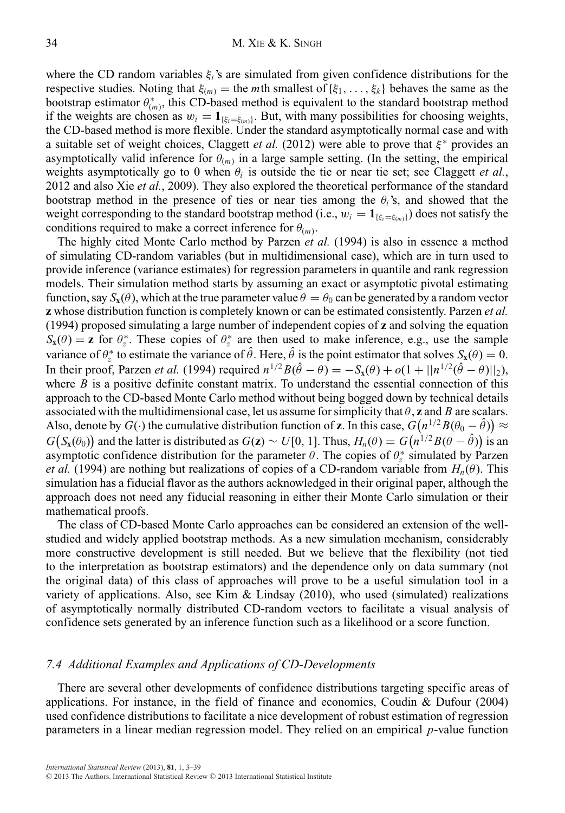where the CD random variables ξ*i*'s are simulated from given confidence distributions for the respective studies. Noting that  $\xi_{(m)} =$  the *m*th smallest of  $\{\xi_1, \ldots, \xi_k\}$  behaves the same as the bootstrap estimator  $\theta_{(m)}^*$ , this CD-based method is equivalent to the standard bootstrap method if the weights are chosen as  $w_i = \mathbf{1}_{\{\xi_i = \xi_{(m)}\}}$ . But, with many possibilities for choosing weights, the CD-based method is more flexible. Under the standard asymptotically normal case and with a suitable set of weight choices, Claggett *et al.* (2012) were able to prove that  $\xi^*$  provides an asymptotically valid inference for  $\theta_{(m)}$  in a large sample setting. (In the setting, the empirical weights asymptotically go to 0 when  $\theta_i$  is outside the tie or near tie set; see Claggett *et al.*, 2012 and also Xie *et al.*, 2009). They also explored the theoretical performance of the standard bootstrap method in the presence of ties or near ties among the  $\theta_i$ 's, and showed that the weight corresponding to the standard bootstrap method (i.e.,  $w_i = \mathbf{1}_{\{\xi_i = \xi_{(m)}\}}$ ) does not satisfy the conditions required to make a correct inference for  $\theta_{(m)}$ .

The highly cited Monte Carlo method by Parzen *et al.* (1994) is also in essence a method of simulating CD-random variables (but in multidimensional case), which are in turn used to provide inference (variance estimates) for regression parameters in quantile and rank regression models. Their simulation method starts by assuming an exact or asymptotic pivotal estimating function, say  $S_x(\theta)$ , which at the true parameter value  $\theta = \theta_0$  can be generated by a random vector **z** whose distribution function is completely known or can be estimated consistently. Parzen *et al.* (1994) proposed simulating a large number of independent copies of **z** and solving the equation  $S_{\mathbf{x}}(\theta) = \mathbf{z}$  for  $\theta_z^*$ . These copies of  $\theta_z^*$  are then used to make inference, e.g., use the sample variance of  $\theta_z^*$  to estimate the variance of  $\hat{\theta}$ . Here,  $\hat{\theta}$  is the point estimator that solves  $S_x(\theta) = 0$ . In their proof, Parzen *et al.* (1994) required  $n^{1/2}B(\hat{\theta} - \theta) = -S_x(\theta) + o(1 + ||n^{1/2}(\hat{\theta} - \theta)||_2)$ , where  $B$  is a positive definite constant matrix. To understand the essential connection of this approach to the CD-based Monte Carlo method without being bogged down by technical details associated with the multidimensional case, let us assume for simplicity that  $\theta$ , **z** and *B* are scalars. Also, denote by  $G(\cdot)$  the cumulative distribution function of **z**. In this case,  $G(n^{1/2}B(\theta_0 - \hat{\theta})) \approx$  $G(S_x(\theta_0))$  and the latter is distributed as  $G(z) \sim U[0, 1]$ . Thus,  $H_n(\theta) = G(n^{1/2}B(\theta - \hat{\theta}))$  is an asymptotic confidence distribution for the parameter  $\theta$ . The copies of  $\theta_z^*$  simulated by Parzen *et al.* (1994) are nothing but realizations of copies of a CD-random variable from  $H_n(\theta)$ . This simulation has a fiducial flavor as the authors acknowledged in their original paper, although the approach does not need any fiducial reasoning in either their Monte Carlo simulation or their mathematical proofs.

The class of CD-based Monte Carlo approaches can be considered an extension of the wellstudied and widely applied bootstrap methods. As a new simulation mechanism, considerably more constructive development is still needed. But we believe that the flexibility (not tied to the interpretation as bootstrap estimators) and the dependence only on data summary (not the original data) of this class of approaches will prove to be a useful simulation tool in a variety of applications. Also, see Kim  $\&$  Lindsay (2010), who used (simulated) realizations of asymptotically normally distributed CD-random vectors to facilitate a visual analysis of confidence sets generated by an inference function such as a likelihood or a score function.

# *7.4 Additional Examples and Applications of CD-Developments*

There are several other developments of confidence distributions targeting specific areas of applications. For instance, in the field of finance and economics, Coudin & Dufour (2004) used confidence distributions to facilitate a nice development of robust estimation of regression parameters in a linear median regression model. They relied on an empirical *p*-value function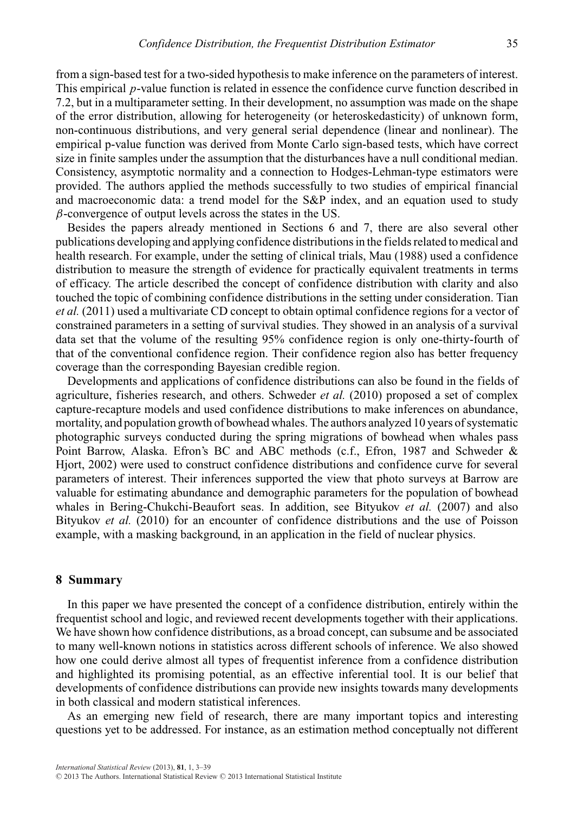from a sign-based test for a two-sided hypothesis to make inference on the parameters of interest. This empirical *p*-value function is related in essence the confidence curve function described in 7.2, but in a multiparameter setting. In their development, no assumption was made on the shape of the error distribution, allowing for heterogeneity (or heteroskedasticity) of unknown form, non-continuous distributions, and very general serial dependence (linear and nonlinear). The empirical p-value function was derived from Monte Carlo sign-based tests, which have correct size in finite samples under the assumption that the disturbances have a null conditional median. Consistency, asymptotic normality and a connection to Hodges-Lehman-type estimators were provided. The authors applied the methods successfully to two studies of empirical financial and macroeconomic data: a trend model for the S&P index, and an equation used to study  $\beta$ -convergence of output levels across the states in the US.

Besides the papers already mentioned in Sections 6 and 7, there are also several other publications developing and applying confidence distributions in the fields related to medical and health research. For example, under the setting of clinical trials, Mau (1988) used a confidence distribution to measure the strength of evidence for practically equivalent treatments in terms of efficacy. The article described the concept of confidence distribution with clarity and also touched the topic of combining confidence distributions in the setting under consideration. Tian *et al.* (2011) used a multivariate CD concept to obtain optimal confidence regions for a vector of constrained parameters in a setting of survival studies. They showed in an analysis of a survival data set that the volume of the resulting 95% confidence region is only one-thirty-fourth of that of the conventional confidence region. Their confidence region also has better frequency coverage than the corresponding Bayesian credible region.

Developments and applications of confidence distributions can also be found in the fields of agriculture, fisheries research, and others. Schweder *et al.* (2010) proposed a set of complex capture-recapture models and used confidence distributions to make inferences on abundance, mortality, and population growth of bowhead whales. The authors analyzed 10 years of systematic photographic surveys conducted during the spring migrations of bowhead when whales pass Point Barrow, Alaska. Efron's BC and ABC methods (c.f., Efron, 1987 and Schweder & Hjort, 2002) were used to construct confidence distributions and confidence curve for several parameters of interest. Their inferences supported the view that photo surveys at Barrow are valuable for estimating abundance and demographic parameters for the population of bowhead whales in Bering-Chukchi-Beaufort seas. In addition, see Bityukov *et al.* (2007) and also Bityukov *et al.* (2010) for an encounter of confidence distributions and the use of Poisson example, with a masking background, in an application in the field of nuclear physics.

### **8 Summary**

In this paper we have presented the concept of a confidence distribution, entirely within the frequentist school and logic, and reviewed recent developments together with their applications. We have shown how confidence distributions, as a broad concept, can subsume and be associated to many well-known notions in statistics across different schools of inference. We also showed how one could derive almost all types of frequentist inference from a confidence distribution and highlighted its promising potential, as an effective inferential tool. It is our belief that developments of confidence distributions can provide new insights towards many developments in both classical and modern statistical inferences.

As an emerging new field of research, there are many important topics and interesting questions yet to be addressed. For instance, as an estimation method conceptually not different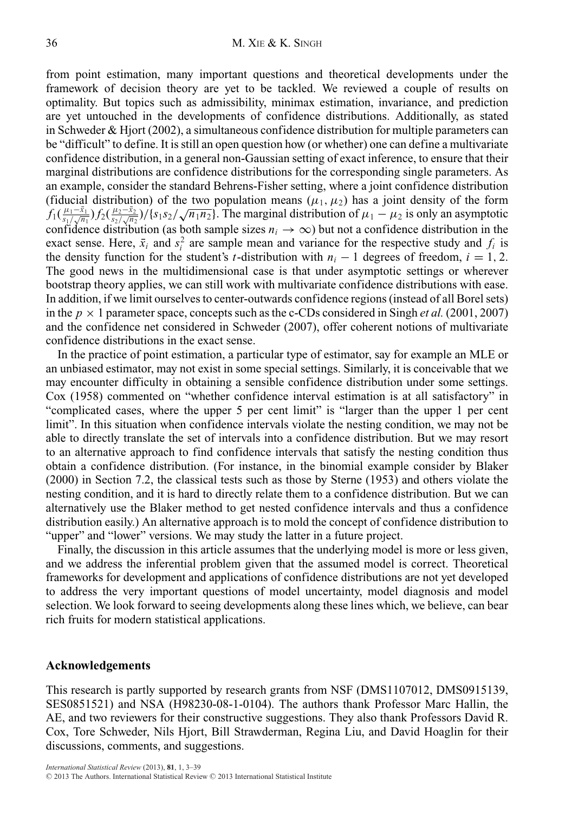from point estimation, many important questions and theoretical developments under the framework of decision theory are yet to be tackled. We reviewed a couple of results on optimality. But topics such as admissibility, minimax estimation, invariance, and prediction are yet untouched in the developments of confidence distributions. Additionally, as stated in Schweder & Hjort (2002), a simultaneous confidence distribution for multiple parameters can be "difficult" to define. It is still an open question how (or whether) one can define a multivariate confidence distribution, in a general non-Gaussian setting of exact inference, to ensure that their marginal distributions are confidence distributions for the corresponding single parameters. As an example, consider the standard Behrens-Fisher setting, where a joint confidence distribution (fiducial distribution) of the two population means  $(\mu_1, \mu_2)$  has a joint density of the form *f*<sub>1</sub>( $\frac{\mu_1 - \bar{x}_1}{s_1/\sqrt{n_1}}$ ) *f*<sub>2</sub>( $\frac{\mu_2 - \bar{x}_2}{s_2/\sqrt{n_2}}$ )/{ $s_1s_2/\sqrt{n_1n_2}$ }. The marginal distribution of  $\mu_1 - \mu_2$  is only an asymptotic confidence distribution (as both sample sizes  $n_i \to \infty$ ) but not a confidence distribution in the exact sense. Here,  $\bar{x}_i$  and  $s_i^2$  are sample mean and variance for the respective study and  $f_i$  is the density function for the student's *t*-distribution with  $n_i - 1$  degrees of freedom,  $i = 1, 2$ . The good news in the multidimensional case is that under asymptotic settings or wherever bootstrap theory applies, we can still work with multivariate confidence distributions with ease. In addition, if we limit ourselves to center-outwards confidence regions (instead of all Borel sets) in the  $p \times 1$  parameter space, concepts such as the c-CDs considered in Singh *et al.* (2001, 2007) and the confidence net considered in Schweder (2007), offer coherent notions of multivariate confidence distributions in the exact sense.

In the practice of point estimation, a particular type of estimator, say for example an MLE or an unbiased estimator, may not exist in some special settings. Similarly, it is conceivable that we may encounter difficulty in obtaining a sensible confidence distribution under some settings. Cox (1958) commented on "whether confidence interval estimation is at all satisfactory" in "complicated cases, where the upper 5 per cent limit" is "larger than the upper 1 per cent limit". In this situation when confidence intervals violate the nesting condition, we may not be able to directly translate the set of intervals into a confidence distribution. But we may resort to an alternative approach to find confidence intervals that satisfy the nesting condition thus obtain a confidence distribution. (For instance, in the binomial example consider by Blaker (2000) in Section 7.2, the classical tests such as those by Sterne (1953) and others violate the nesting condition, and it is hard to directly relate them to a confidence distribution. But we can alternatively use the Blaker method to get nested confidence intervals and thus a confidence distribution easily.) An alternative approach is to mold the concept of confidence distribution to "upper" and "lower" versions. We may study the latter in a future project.

Finally, the discussion in this article assumes that the underlying model is more or less given, and we address the inferential problem given that the assumed model is correct. Theoretical frameworks for development and applications of confidence distributions are not yet developed to address the very important questions of model uncertainty, model diagnosis and model selection. We look forward to seeing developments along these lines which, we believe, can bear rich fruits for modern statistical applications.

#### **Acknowledgements**

This research is partly supported by research grants from NSF (DMS1107012, DMS0915139, SES0851521) and NSA (H98230-08-1-0104). The authors thank Professor Marc Hallin, the AE, and two reviewers for their constructive suggestions. They also thank Professors David R. Cox, Tore Schweder, Nils Hjort, Bill Strawderman, Regina Liu, and David Hoaglin for their discussions, comments, and suggestions.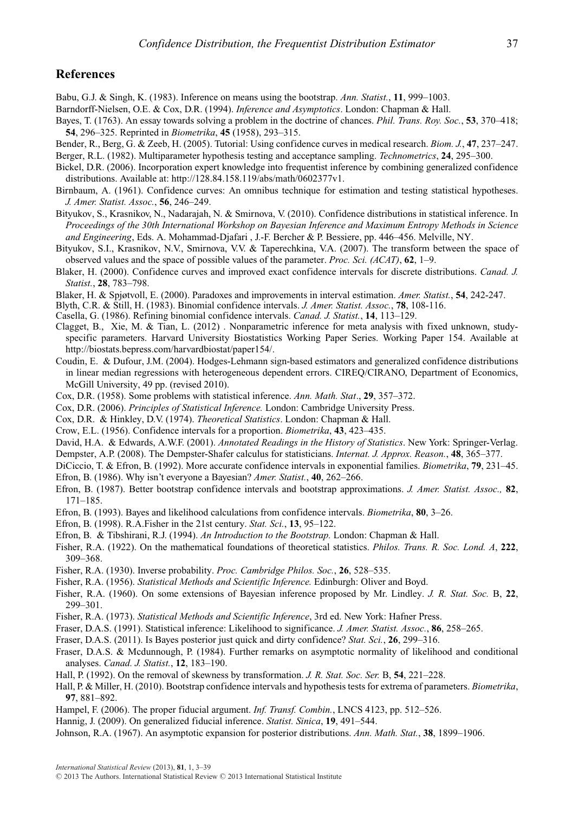# **References**

Babu, G.J. & Singh, K. (1983). Inference on means using the bootstrap. *Ann. Statist.*, **11**, 999–1003.

- Barndorff-Nielsen, O.E. & Cox, D.R. (1994). *Inference and Asymptotics*. London: Chapman & Hall.
- Bayes, T. (1763). An essay towards solving a problem in the doctrine of chances. *Phil. Trans. Roy. Soc.*, **53**, 370–418; **54**, 296–325. Reprinted in *Biometrika*, **45** (1958), 293–315.
- Bender, R., Berg, G. & Zeeb, H. (2005). Tutorial: Using confidence curves in medical research. *Biom. J.*, **47**, 237–247.
- Berger, R.L. (1982). Multiparameter hypothesis testing and acceptance sampling. *Technometrics*, **24**, 295–300.
- Bickel, D.R. (2006). Incorporation expert knowledge into frequentist inference by combining generalized confidence distributions. Available at: http://128.84.158.119/abs/math/0602377v1.
- Birnbaum, A. (1961). Confidence curves: An omnibus technique for estimation and testing statistical hypotheses. *J. Amer. Statist. Assoc.*, **56**, 246–249.
- Bityukov, S., Krasnikov, N., Nadarajah, N. & Smirnova, V. (2010). Confidence distributions in statistical inference. In *Proceedings of the 30th International Workshop on Bayesian Inference and Maximum Entropy Methods in Science and Engineering*, Eds. A. Mohammad-Djafari , J.-F. Bercher & P. Bessiere, pp. 446–456. Melville, NY.
- Bityukov, S.I., Krasnikov, N.V., Smirnova, V.V. & Taperechkina, V.A. (2007). The transform between the space of observed values and the space of possible values of the parameter. *Proc. Sci. (ACAT)*, **62**, 1–9.
- Blaker, H. (2000). Confidence curves and improved exact confidence intervals for discrete distributions. *Canad. J. Statist.*, **28**, 783–798.
- Blaker, H. & Spjøtvoll, E. (2000). Paradoxes and improvements in interval estimation. *Amer. Statist.*, **54**, 242-247.
- Blyth, C.R. & Still, H. (1983). Binomial confidence intervals. *J. Amer. Statist. Assoc.*, **78**, 108-116.

Casella, G. (1986). Refining binomial confidence intervals. *Canad. J. Statist.*, **14**, 113–129.

- Clagget, B., Xie, M. & Tian, L. (2012) . Nonparametric inference for meta analysis with fixed unknown, studyspecific parameters. Harvard University Biostatistics Working Paper Series. Working Paper 154. Available at http://biostats.bepress.com/harvardbiostat/paper154/.
- Coudin, E. & Dufour, J.M. (2004). Hodges-Lehmann sign-based estimators and generalized confidence distributions in linear median regressions with heterogeneous dependent errors. CIREQ/CIRANO, Department of Economics, McGill University, 49 pp. (revised 2010).
- Cox, D.R. (1958). Some problems with statistical inference. *Ann. Math. Stat*., **29**, 357–372.
- Cox, D.R. (2006). *Principles of Statistical Inference.* London: Cambridge University Press.
- Cox, D.R. & Hinkley, D.V. (1974). *Theoretical Statistics*. London: Chapman & Hall.
- Crow, E.L. (1956). Confidence intervals for a proportion. *Biometrika*, **43**, 423–435.

David, H.A. & Edwards, A.W.F. (2001). *Annotated Readings in the History of Statistics*. New York: Springer-Verlag.

Dempster, A.P. (2008). The Dempster-Shafer calculus for statisticians. *Internat. J. Approx. Reason.*, **48**, 365–377.

- DiCiccio, T. & Efron, B. (1992). More accurate confidence intervals in exponential families. *Biometrika*, **79**, 231–45.
- Efron, B. (1986). Why isn't everyone a Bayesian? *Amer. Statist.*, **40**, 262–266.
- Efron, B. (1987). Better bootstrap confidence intervals and bootstrap approximations. *J. Amer. Statist. Assoc.,* **82**, 171–185.
- Efron, B. (1993). Bayes and likelihood calculations from confidence intervals. *Biometrika*, **80**, 3–26.
- Efron, B. (1998). R.A.Fisher in the 21st century. *Stat. Sci.*, **13**, 95–122.
- Efron, B. & Tibshirani, R.J. (1994). *An Introduction to the Bootstrap.* London: Chapman & Hall.
- Fisher, R.A. (1922). On the mathematical foundations of theoretical statistics. *Philos. Trans. R. Soc. Lond. A*, **222**, 309–368.
- Fisher, R.A. (1930). Inverse probability. *Proc. Cambridge Philos. Soc.*, **26**, 528–535.
- Fisher, R.A. (1956). *Statistical Methods and Scientific Inference.* Edinburgh: Oliver and Boyd.
- Fisher, R.A. (1960). On some extensions of Bayesian inference proposed by Mr. Lindley. *J. R. Stat. Soc.* B, **22**, 299–301.
- Fisher, R.A. (1973). *Statistical Methods and Scientific Inference*, 3rd ed. New York: Hafner Press.
- Fraser, D.A.S. (1991). Statistical inference: Likelihood to significance. *J. Amer. Statist. Assoc.*, **86**, 258–265.
- Fraser, D.A.S. (2011). Is Bayes posterior just quick and dirty confidence? *Stat. Sci.*, **26**, 299–316.
- Fraser, D.A.S. & Mcdunnough, P. (1984). Further remarks on asymptotic normality of likelihood and conditional analyses. *Canad. J. Statist.*, **12**, 183–190.
- Hall, P. (1992). On the removal of skewness by transformation. *J. R. Stat. Soc. Ser.* B, **54**, 221–228.
- Hall, P. & Miller, H. (2010). Bootstrap confidence intervals and hypothesis tests for extrema of parameters. *Biometrika*, **97**, 881–892.
- Hampel, F. (2006). The proper fiducial argument. *Inf. Transf. Combin.*, LNCS 4123, pp. 512–526.
- Hannig, J. (2009). On generalized fiducial inference. *Statist. Sinica*, **19**, 491–544.
- Johnson, R.A. (1967). An asymptotic expansion for posterior distributions. *Ann. Math. Stat.*, **38**, 1899–1906.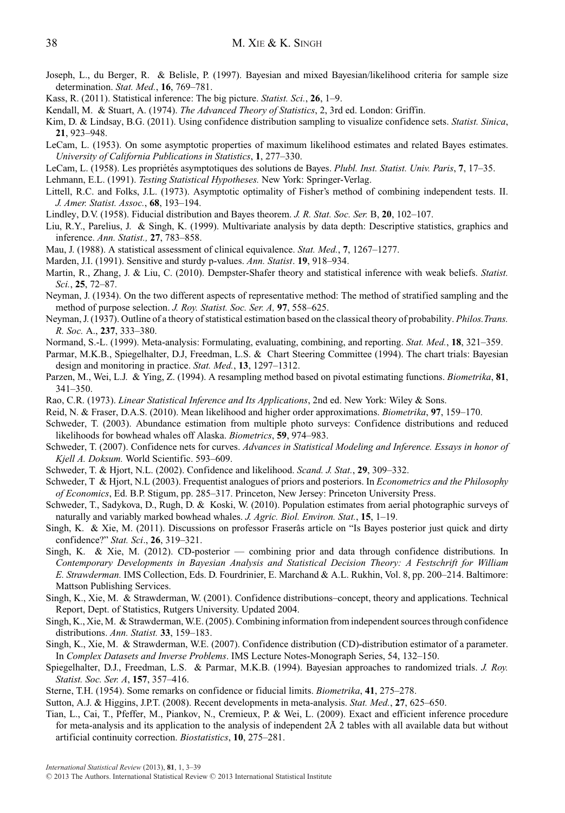- Joseph, L., du Berger, R. & Belisle, P. (1997). Bayesian and mixed Bayesian/likelihood criteria for sample size determination. *Stat. Med.*, **16**, 769–781.
- Kass, R. (2011). Statistical inference: The big picture. *Statist. Sci.*, **26**, 1–9.
- Kendall, M. & Stuart, A. (1974). *The Advanced Theory of Statistics*, 2, 3rd ed. London: Griffin.
- Kim, D. & Lindsay, B.G. (2011). Using confidence distribution sampling to visualize confidence sets. *Statist. Sinica*, **21**, 923–948.
- LeCam, L. (1953). On some asymptotic properties of maximum likelihood estimates and related Bayes estimates. *University of California Publications in Statistics*, **1**, 277–330.
- LeCam, L. (1958). Les propriétés asymptotiques des solutions de Bayes. *Plubl. Inst. Statist. Univ. Paris*, **7**, 17–35.
- Lehmann, E.L. (1991). *Testing Statistical Hypotheses.* New York: Springer-Verlag.
- Littell, R.C. and Folks, J.L. (1973). Asymptotic optimality of Fisher's method of combining independent tests. II. *J. Amer. Statist. Assoc.*, **68**, 193–194.
- Lindley, D.V. (1958). Fiducial distribution and Bayes theorem. *J. R. Stat. Soc. Ser.* B, **20**, 102–107.
- Liu, R.Y., Parelius, J. & Singh, K. (1999). Multivariate analysis by data depth: Descriptive statistics, graphics and inference. *Ann. Statist.,* **27**, 783–858.
- Mau, J. (1988). A statistical assessment of clinical equivalence. *Stat. Med.*, **7**, 1267–1277.
- Marden, J.I. (1991). Sensitive and sturdy p-values. *Ann. Statist*. **19**, 918–934.
- Martin, R., Zhang, J. & Liu, C. (2010). Dempster-Shafer theory and statistical inference with weak beliefs. *Statist. Sci.*, **25**, 72–87.
- Neyman, J. (1934). On the two different aspects of representative method: The method of stratified sampling and the method of purpose selection. *J. Roy. Statist. Soc. Ser. A,* **97**, 558–625.
- Neyman, J. (1937). Outline of a theory of statistical estimation based on the classical theory of probability. *Philos.Trans. R. Soc.* A., **237**, 333–380.
- Normand, S.-L. (1999). Meta-analysis: Formulating, evaluating, combining, and reporting. *Stat. Med.*, **18**, 321–359.
- Parmar, M.K.B., Spiegelhalter, D.J, Freedman, L.S. & Chart Steering Committee (1994). The chart trials: Bayesian design and monitoring in practice. *Stat. Med.*, **13**, 1297–1312.
- Parzen, M., Wei, L.J. & Ying, Z. (1994). A resampling method based on pivotal estimating functions. *Biometrika*, **81**, 341–350.
- Rao, C.R. (1973). *Linear Statistical Inference and Its Applications*, 2nd ed. New York: Wiley & Sons.
- Reid, N. & Fraser, D.A.S. (2010). Mean likelihood and higher order approximations. *Biometrika*, **97**, 159–170.
- Schweder, T. (2003). Abundance estimation from multiple photo surveys: Confidence distributions and reduced likelihoods for bowhead whales off Alaska. *Biometrics*, **59**, 974–983.
- Schweder, T. (2007). Confidence nets for curves. *Advances in Statistical Modeling and Inference. Essays in honor of Kjell A. Doksum.* World Scientific. 593–609.
- Schweder, T. & Hjort, N.L. (2002). Confidence and likelihood. *Scand. J. Stat.*, **29**, 309–332.
- Schweder, T & Hjort, N.L (2003). Frequentist analogues of priors and posteriors. In *Econometrics and the Philosophy of Economics*, Ed. B.P. Stigum, pp. 285–317. Princeton, New Jersey: Princeton University Press.
- Schweder, T., Sadykova, D., Rugh, D. & Koski, W. (2010). Population estimates from aerial photographic surveys of naturally and variably marked bowhead whales. *J. Agric. Biol. Environ. Stat.*, **15**, 1–19.
- Singh, K. & Xie, M. (2011). Discussions on professor Fraseras article on "Is Bayes posterior just quick and dirty confidence?" *Stat. Sci*., **26**, 319–321.
- Singh, K. & Xie, M. (2012). CD-posterior combining prior and data through confidence distributions. In *Contemporary Developments in Bayesian Analysis and Statistical Decision Theory: A Festschrift for William E. Strawderman.* IMS Collection, Eds. D. Fourdrinier, E. Marchand & A.L. Rukhin, Vol. 8, pp. 200–214. Baltimore: Mattson Publishing Services.
- Singh, K., Xie, M. & Strawderman, W. (2001). Confidence distributions–concept, theory and applications. Technical Report, Dept. of Statistics, Rutgers University. Updated 2004.
- Singh, K., Xie, M. & Strawderman, W.E. (2005). Combining information from independent sources through confidence distributions. *Ann. Statist.* **33**, 159–183.
- Singh, K., Xie, M. & Strawderman, W.E. (2007). Confidence distribution (CD)-distribution estimator of a parameter. In *Complex Datasets and Inverse Problems*. IMS Lecture Notes-Monograph Series, 54, 132–150.
- Spiegelhalter, D.J., Freedman, L.S. & Parmar, M.K.B. (1994). Bayesian approaches to randomized trials. *J. Roy. Statist. Soc. Ser. A*, **157**, 357–416.
- Sterne, T.H. (1954). Some remarks on confidence or fiducial limits. *Biometrika*, **41**, 275–278.
- Sutton, A.J. & Higgins, J.P.T. (2008). Recent developments in meta-analysis. *Stat. Med.*, **27**, 625–650.
- Tian, L., Cai, T., Pfeffer, M., Piankov, N., Cremieux, P. & Wei, L. (2009). Exact and efficient inference procedure for meta-analysis and its application to the analysis of independent  $2\tilde{A}$  2 tables with all available data but without artificial continuity correction. *Biostatistics*, **10**, 275–281.